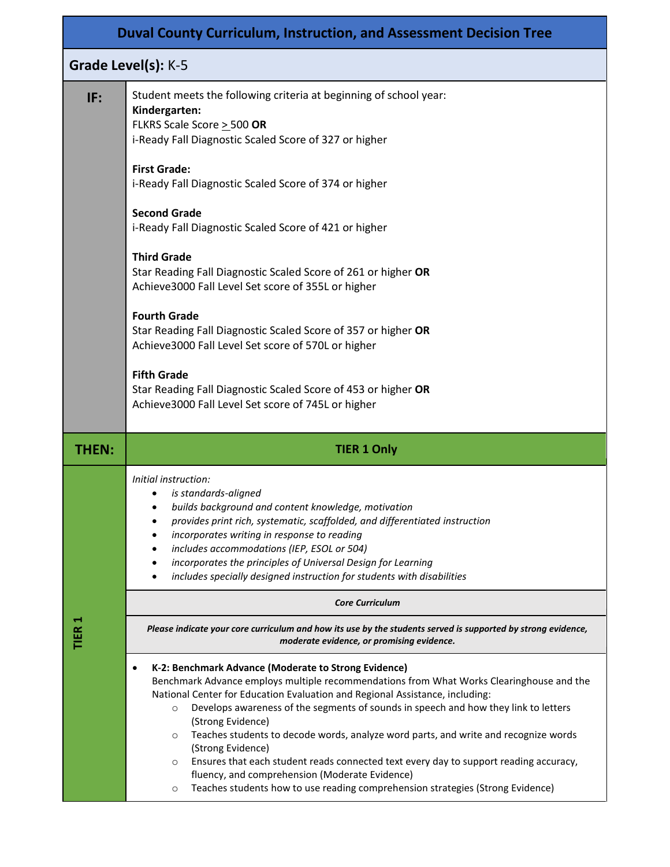| <b>Duval County Curriculum, Instruction, and Assessment Decision Tree</b> |                                                                                                                                                                                                                                                                                                                                                                                                                                                                                                                                                                                                                                                                                                                                                                                   |  |  |  |  |  |  |
|---------------------------------------------------------------------------|-----------------------------------------------------------------------------------------------------------------------------------------------------------------------------------------------------------------------------------------------------------------------------------------------------------------------------------------------------------------------------------------------------------------------------------------------------------------------------------------------------------------------------------------------------------------------------------------------------------------------------------------------------------------------------------------------------------------------------------------------------------------------------------|--|--|--|--|--|--|
|                                                                           | Grade Level(s): K-5                                                                                                                                                                                                                                                                                                                                                                                                                                                                                                                                                                                                                                                                                                                                                               |  |  |  |  |  |  |
| IF:                                                                       | Student meets the following criteria at beginning of school year:<br>Kindergarten:<br>FLKRS Scale Score > 500 OR<br>i-Ready Fall Diagnostic Scaled Score of 327 or higher<br><b>First Grade:</b><br>i-Ready Fall Diagnostic Scaled Score of 374 or higher<br><b>Second Grade</b><br>i-Ready Fall Diagnostic Scaled Score of 421 or higher<br><b>Third Grade</b><br>Star Reading Fall Diagnostic Scaled Score of 261 or higher OR<br>Achieve3000 Fall Level Set score of 355L or higher<br><b>Fourth Grade</b><br>Star Reading Fall Diagnostic Scaled Score of 357 or higher OR<br>Achieve3000 Fall Level Set score of 570L or higher<br><b>Fifth Grade</b><br>Star Reading Fall Diagnostic Scaled Score of 453 or higher OR<br>Achieve3000 Fall Level Set score of 745L or higher |  |  |  |  |  |  |
| <b>THEN:</b>                                                              | <b>TIER 1 Only</b>                                                                                                                                                                                                                                                                                                                                                                                                                                                                                                                                                                                                                                                                                                                                                                |  |  |  |  |  |  |
|                                                                           | Initial instruction:<br>is standards-aligned<br>builds background and content knowledge, motivation<br>$\bullet$<br>provides print rich, systematic, scaffolded, and differentiated instruction<br>incorporates writing in response to reading<br>includes accommodations (IEP, ESOL or 504)<br>incorporates the principles of Universal Design for Learning<br>includes specially designed instruction for students with disabilities                                                                                                                                                                                                                                                                                                                                            |  |  |  |  |  |  |
|                                                                           | <b>Core Curriculum</b>                                                                                                                                                                                                                                                                                                                                                                                                                                                                                                                                                                                                                                                                                                                                                            |  |  |  |  |  |  |
| TIER 1                                                                    | Please indicate your core curriculum and how its use by the students served is supported by strong evidence,<br>moderate evidence, or promising evidence.                                                                                                                                                                                                                                                                                                                                                                                                                                                                                                                                                                                                                         |  |  |  |  |  |  |
|                                                                           | K-2: Benchmark Advance (Moderate to Strong Evidence)<br>$\bullet$<br>Benchmark Advance employs multiple recommendations from What Works Clearinghouse and the<br>National Center for Education Evaluation and Regional Assistance, including:<br>Develops awareness of the segments of sounds in speech and how they link to letters<br>$\circ$<br>(Strong Evidence)<br>Teaches students to decode words, analyze word parts, and write and recognize words<br>$\circ$<br>(Strong Evidence)<br>Ensures that each student reads connected text every day to support reading accuracy,<br>$\circ$<br>fluency, and comprehension (Moderate Evidence)<br>Teaches students how to use reading comprehension strategies (Strong Evidence)<br>$\circ$                                    |  |  |  |  |  |  |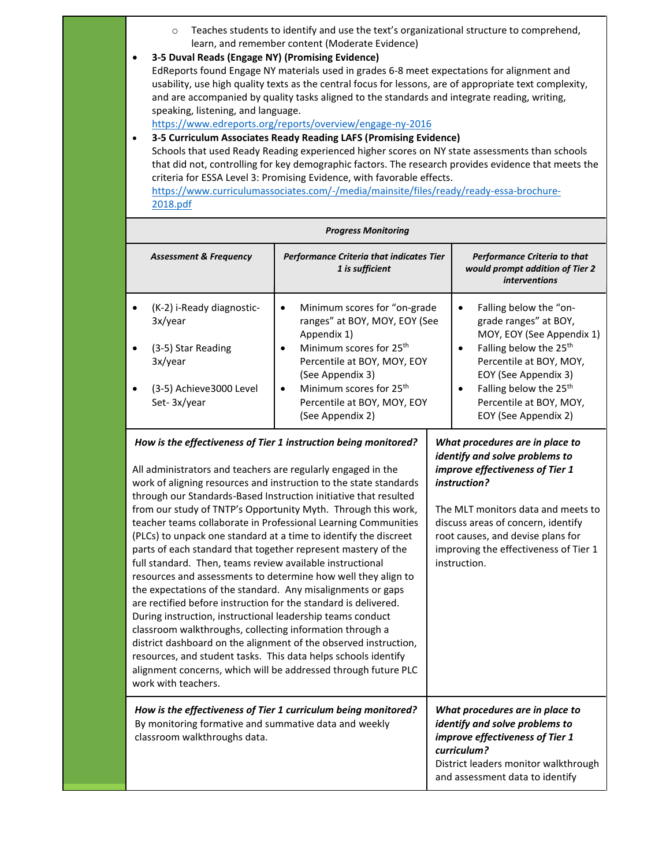- o Teaches students to identify and use the text's organizational structure to comprehend, learn, and remember content (Moderate Evidence)
- **3-5 Duval Reads (Engage NY) (Promising Evidence)**

EdReports found Engage NY materials used in grades 6-8 meet expectations for alignment and usability, use high quality texts as the central focus for lessons, are of appropriate text complexity, and are accompanied by quality tasks aligned to the standards and integrate reading, writing, speaking, listening, and language.

<https://www.edreports.org/reports/overview/engage-ny-2016>

• **3-5 Curriculum Associates Ready Reading LAFS (Promising Evidence)**  Schools that used Ready Reading experienced higher scores on NY state assessments than schools that did not, controlling for key demographic factors. The research provides evidence that meets the criteria for ESSA Level 3: Promising Evidence, with favorable effects. [https://www.curriculumassociates.com/-/media/mainsite/files/ready/ready-essa-brochure-](https://www.curriculumassociates.com/-/media/mainsite/files/ready/ready-essa-brochure-2018.pdf)[2018.pdf](https://www.curriculumassociates.com/-/media/mainsite/files/ready/ready-essa-brochure-2018.pdf)

| <b>Progress Monitoring</b>                                                                                                                                                                                                                                                                                                                                                                                                                                                                                                                                                                                                                                                                                                                                                                                                                                                                                                                                                                                                                                                                                                                                                |                                                                                                                                                                                                                                                                                                 |                                                                                                                                                                                                                                                                                          |  |  |  |  |
|---------------------------------------------------------------------------------------------------------------------------------------------------------------------------------------------------------------------------------------------------------------------------------------------------------------------------------------------------------------------------------------------------------------------------------------------------------------------------------------------------------------------------------------------------------------------------------------------------------------------------------------------------------------------------------------------------------------------------------------------------------------------------------------------------------------------------------------------------------------------------------------------------------------------------------------------------------------------------------------------------------------------------------------------------------------------------------------------------------------------------------------------------------------------------|-------------------------------------------------------------------------------------------------------------------------------------------------------------------------------------------------------------------------------------------------------------------------------------------------|------------------------------------------------------------------------------------------------------------------------------------------------------------------------------------------------------------------------------------------------------------------------------------------|--|--|--|--|
| <b>Assessment &amp; Frequency</b>                                                                                                                                                                                                                                                                                                                                                                                                                                                                                                                                                                                                                                                                                                                                                                                                                                                                                                                                                                                                                                                                                                                                         | Performance Criteria that indicates Tier<br>1 is sufficient                                                                                                                                                                                                                                     | Performance Criteria to that<br>would prompt addition of Tier 2<br><i>interventions</i>                                                                                                                                                                                                  |  |  |  |  |
| (K-2) i-Ready diagnostic-<br>3x/year<br>(3-5) Star Reading<br>3x/year<br>(3-5) Achieve3000 Level<br>Set-3x/year                                                                                                                                                                                                                                                                                                                                                                                                                                                                                                                                                                                                                                                                                                                                                                                                                                                                                                                                                                                                                                                           | Minimum scores for "on-grade<br>$\bullet$<br>ranges" at BOY, MOY, EOY (See<br>Appendix 1)<br>Minimum scores for 25 <sup>th</sup><br>٠<br>Percentile at BOY, MOY, EOY<br>(See Appendix 3)<br>Minimum scores for 25 <sup>th</sup><br>$\bullet$<br>Percentile at BOY, MOY, EOY<br>(See Appendix 2) | Falling below the "on-<br>$\bullet$<br>grade ranges" at BOY,<br>MOY, EOY (See Appendix 1)<br>Falling below the 25 <sup>th</sup><br>Percentile at BOY, MOY,<br>EOY (See Appendix 3)<br>Falling below the 25 <sup>th</sup><br>$\bullet$<br>Percentile at BOY, MOY,<br>EOY (See Appendix 2) |  |  |  |  |
| How is the effectiveness of Tier 1 instruction being monitored?<br>All administrators and teachers are regularly engaged in the<br>work of aligning resources and instruction to the state standards<br>through our Standards-Based Instruction initiative that resulted<br>from our study of TNTP's Opportunity Myth. Through this work,<br>teacher teams collaborate in Professional Learning Communities<br>(PLCs) to unpack one standard at a time to identify the discreet<br>parts of each standard that together represent mastery of the<br>full standard. Then, teams review available instructional<br>resources and assessments to determine how well they align to<br>the expectations of the standard. Any misalignments or gaps<br>are rectified before instruction for the standard is delivered.<br>During instruction, instructional leadership teams conduct<br>classroom walkthroughs, collecting information through a<br>district dashboard on the alignment of the observed instruction,<br>resources, and student tasks. This data helps schools identify<br>alignment concerns, which will be addressed through future PLC<br>work with teachers. | What procedures are in place to<br>identify and solve problems to<br>improve effectiveness of Tier 1<br>instruction?<br>The MLT monitors data and meets to<br>discuss areas of concern, identify<br>root causes, and devise plans for<br>improving the effectiveness of Tier 1<br>instruction.  |                                                                                                                                                                                                                                                                                          |  |  |  |  |
| How is the effectiveness of Tier 1 curriculum being monitored?<br>By monitoring formative and summative data and weekly<br>classroom walkthroughs data.                                                                                                                                                                                                                                                                                                                                                                                                                                                                                                                                                                                                                                                                                                                                                                                                                                                                                                                                                                                                                   | What procedures are in place to<br>identify and solve problems to<br>improve effectiveness of Tier 1<br>curriculum?<br>District leaders monitor walkthrough<br>and assessment data to identify                                                                                                  |                                                                                                                                                                                                                                                                                          |  |  |  |  |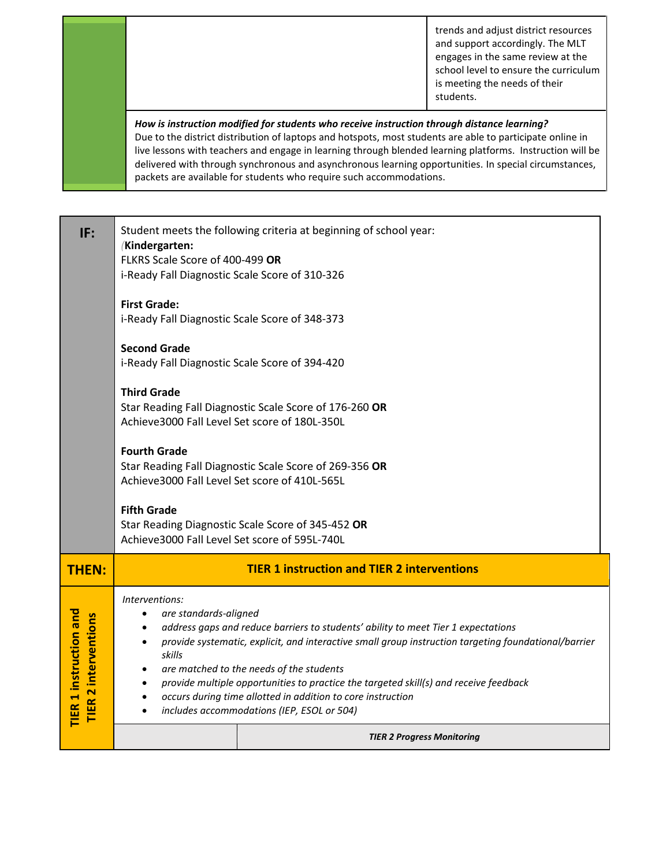trends and adjust district resources and support accordingly. The MLT engages in the same review at the school level to ensure the curriculum is meeting the needs of their students.

### *How is instruction modified for students who receive instruction through distance learning?* Due to the district distribution of laptops and hotspots, most students are able to participate online in live lessons with teachers and engage in learning through blended learning platforms. Instruction will be delivered with through synchronous and asynchronous learning opportunities. In special circumstances, packets are available for students who require such accommodations.

| IF:                                                          | Student meets the following criteria at beginning of school year:<br>(Kindergarten:<br>FLKRS Scale Score of 400-499 OR<br>i-Ready Fall Diagnostic Scale Score of 310-326<br><b>First Grade:</b><br>i-Ready Fall Diagnostic Scale Score of 348-373<br><b>Second Grade</b><br>i-Ready Fall Diagnostic Scale Score of 394-420<br><b>Third Grade</b><br>Star Reading Fall Diagnostic Scale Score of 176-260 OR<br>Achieve3000 Fall Level Set score of 180L-350L<br><b>Fourth Grade</b><br>Star Reading Fall Diagnostic Scale Score of 269-356 OR<br>Achieve3000 Fall Level Set score of 410L-565L<br><b>Fifth Grade</b><br>Star Reading Diagnostic Scale Score of 345-452 OR |  |  |  |  |
|--------------------------------------------------------------|--------------------------------------------------------------------------------------------------------------------------------------------------------------------------------------------------------------------------------------------------------------------------------------------------------------------------------------------------------------------------------------------------------------------------------------------------------------------------------------------------------------------------------------------------------------------------------------------------------------------------------------------------------------------------|--|--|--|--|
|                                                              | Achieve3000 Fall Level Set score of 595L-740L                                                                                                                                                                                                                                                                                                                                                                                                                                                                                                                                                                                                                            |  |  |  |  |
| <b>THEN:</b>                                                 | <b>TIER 1 instruction and TIER 2 interventions</b>                                                                                                                                                                                                                                                                                                                                                                                                                                                                                                                                                                                                                       |  |  |  |  |
| <b>TIER 1 instruction and</b><br><b>TIER 2 interventions</b> | Interventions:<br>are standards-aligned<br>$\bullet$<br>address gaps and reduce barriers to students' ability to meet Tier 1 expectations<br>$\bullet$<br>provide systematic, explicit, and interactive small group instruction targeting foundational/barrier<br>$\bullet$<br>skills<br>are matched to the needs of the students<br>$\bullet$<br>provide multiple opportunities to practice the targeted skill(s) and receive feedback<br>$\bullet$<br>occurs during time allotted in addition to core instruction<br>$\bullet$<br>includes accommodations (IEP, ESOL or 504)<br>$\bullet$                                                                              |  |  |  |  |
|                                                              | <b>TIER 2 Progress Monitoring</b>                                                                                                                                                                                                                                                                                                                                                                                                                                                                                                                                                                                                                                        |  |  |  |  |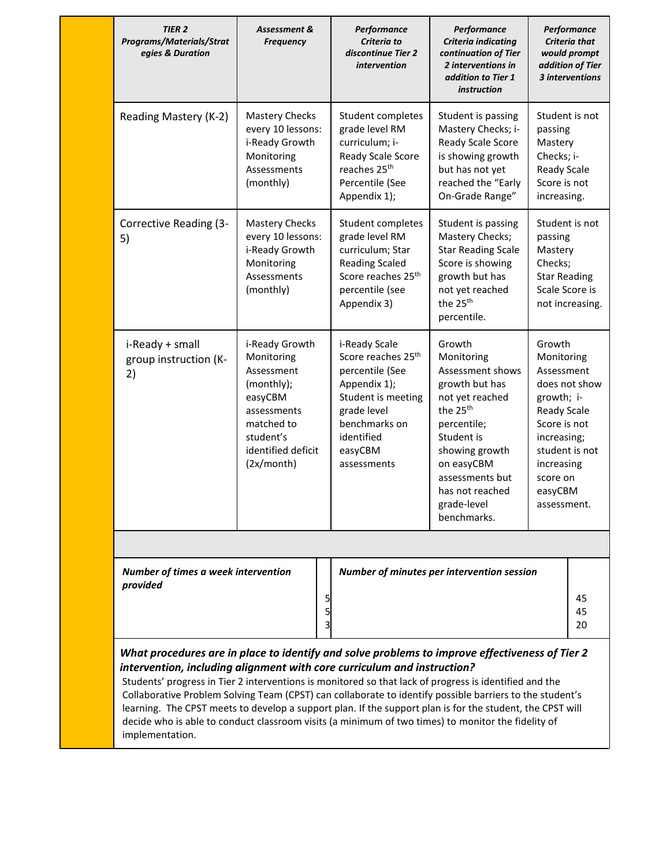| <b>TIER 2</b><br><b>Programs/Materials/Strat</b><br>egies & Duration                                                                                                                                                                                                                                                                                                                                                                                                                                                                                                                                                                  | Assessment &<br><b>Frequency</b>                                                                                                                  | Performance<br>Criteria to<br>discontinue Tier 2<br>intervention                                                                                                                 | Performance<br>Criteria indicating<br>continuation of Tier<br>2 interventions in<br>addition to Tier 1<br>instruction                                                                                                                  |                                                                                                                                                    | Performance<br><b>Criteria that</b><br>would prompt<br>addition of Tier<br>3 interventions |  |
|---------------------------------------------------------------------------------------------------------------------------------------------------------------------------------------------------------------------------------------------------------------------------------------------------------------------------------------------------------------------------------------------------------------------------------------------------------------------------------------------------------------------------------------------------------------------------------------------------------------------------------------|---------------------------------------------------------------------------------------------------------------------------------------------------|----------------------------------------------------------------------------------------------------------------------------------------------------------------------------------|----------------------------------------------------------------------------------------------------------------------------------------------------------------------------------------------------------------------------------------|----------------------------------------------------------------------------------------------------------------------------------------------------|--------------------------------------------------------------------------------------------|--|
| Reading Mastery (K-2)                                                                                                                                                                                                                                                                                                                                                                                                                                                                                                                                                                                                                 | <b>Mastery Checks</b><br>every 10 lessons:<br>i-Ready Growth<br>Monitoring<br>Assessments<br>(monthly)                                            | Student completes<br>grade level RM<br>curriculum; i-<br>Ready Scale Score<br>reaches 25 <sup>th</sup><br>Percentile (See<br>Appendix 1);                                        | Student is passing<br>Mastery Checks; i-<br>Ready Scale Score<br>is showing growth<br>but has not yet<br>reached the "Early<br>On-Grade Range"                                                                                         | Student is not<br>passing<br>Mastery<br>Checks; i-<br>Ready Scale<br>Score is not<br>increasing.                                                   |                                                                                            |  |
| Corrective Reading (3-<br>5)                                                                                                                                                                                                                                                                                                                                                                                                                                                                                                                                                                                                          | <b>Mastery Checks</b><br>every 10 lessons:<br>i-Ready Growth<br>Monitoring<br>Assessments<br>(monthly)                                            | Student completes<br>grade level RM<br>curriculum; Star<br><b>Reading Scaled</b><br>Score reaches 25 <sup>th</sup><br>percentile (see<br>Appendix 3)                             | Student is passing<br>Mastery Checks;<br><b>Star Reading Scale</b><br>Score is showing<br>growth but has<br>not yet reached<br>the 25 <sup>th</sup><br>percentile.                                                                     | passing<br>Mastery<br>Checks;<br><b>Star Reading</b><br>Scale Score is                                                                             | Student is not<br>not increasing.                                                          |  |
| i-Ready + small<br>group instruction (K-<br>2)                                                                                                                                                                                                                                                                                                                                                                                                                                                                                                                                                                                        | i-Ready Growth<br>Monitoring<br>Assessment<br>(monthly);<br>easyCBM<br>assessments<br>matched to<br>student's<br>identified deficit<br>(2x/month) | i-Ready Scale<br>Score reaches 25 <sup>th</sup><br>percentile (See<br>Appendix 1);<br>Student is meeting<br>grade level<br>benchmarks on<br>identified<br>easyCBM<br>assessments | Growth<br>Monitoring<br>Assessment shows<br>growth but has<br>not yet reached<br>the 25 <sup>th</sup><br>percentile;<br>Student is<br>showing growth<br>on easyCBM<br>assessments but<br>has not reached<br>grade-level<br>benchmarks. | Growth<br>Monitoring<br>Assessment<br>growth; i-<br>Ready Scale<br>Score is not<br>increasing;<br>increasing<br>score on<br>easyCBM<br>assessment. | does not show<br>student is not                                                            |  |
|                                                                                                                                                                                                                                                                                                                                                                                                                                                                                                                                                                                                                                       |                                                                                                                                                   |                                                                                                                                                                                  |                                                                                                                                                                                                                                        |                                                                                                                                                    |                                                                                            |  |
| Number of times a week intervention<br>provided                                                                                                                                                                                                                                                                                                                                                                                                                                                                                                                                                                                       |                                                                                                                                                   | 5                                                                                                                                                                                | Number of minutes per intervention session                                                                                                                                                                                             |                                                                                                                                                    | 45<br>45<br>20                                                                             |  |
| What procedures are in place to identify and solve problems to improve effectiveness of Tier 2<br>intervention, including alignment with core curriculum and instruction?<br>Students' progress in Tier 2 interventions is monitored so that lack of progress is identified and the<br>Collaborative Problem Solving Team (CPST) can collaborate to identify possible barriers to the student's<br>learning. The CPST meets to develop a support plan. If the support plan is for the student, the CPST will<br>decide who is able to conduct classroom visits (a minimum of two times) to monitor the fidelity of<br>implementation. |                                                                                                                                                   |                                                                                                                                                                                  |                                                                                                                                                                                                                                        |                                                                                                                                                    |                                                                                            |  |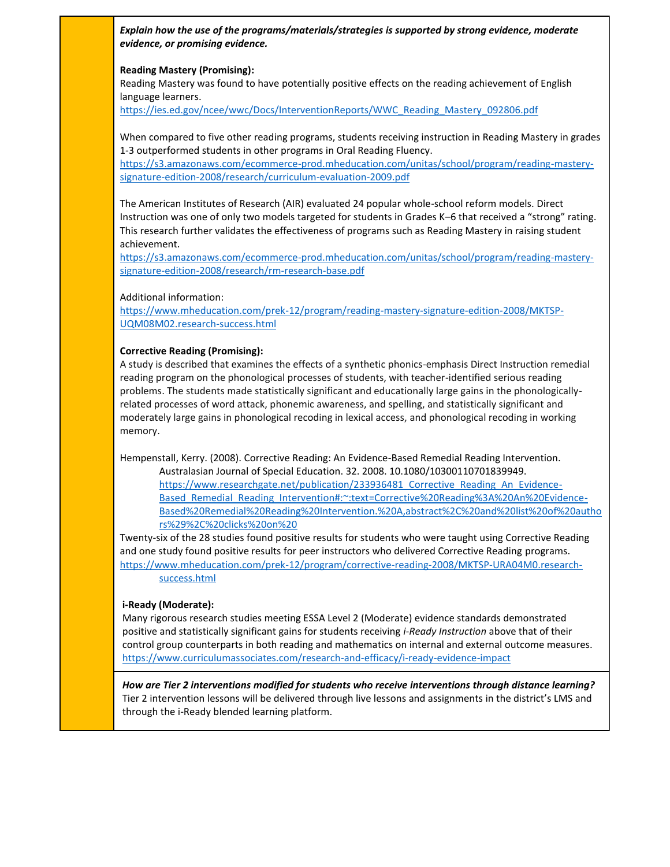*Explain how the use of the programs/materials/strategies is supported by strong evidence, moderate evidence, or promising evidence.*

#### **Reading Mastery (Promising):**

Reading Mastery was found to have potentially positive effects on the reading achievement of English language learners.

[https://ies.ed.gov/ncee/wwc/Docs/InterventionReports/WWC\\_Reading\\_Mastery\\_092806.pdf](https://ies.ed.gov/ncee/wwc/Docs/InterventionReports/WWC_Reading_Mastery_092806.pdf)

When compared to five other reading programs, students receiving instruction in Reading Mastery in grades 1-3 outperformed students in other programs in Oral Reading Fluency.

[https://s3.amazonaws.com/ecommerce-prod.mheducation.com/unitas/school/program/reading-mastery](https://s3.amazonaws.com/ecommerce-prod.mheducation.com/unitas/school/program/reading-mastery-signature-edition-2008/research/curriculum-evaluation-2009.pdf)[signature-edition-2008/research/curriculum-evaluation-2009.pdf](https://s3.amazonaws.com/ecommerce-prod.mheducation.com/unitas/school/program/reading-mastery-signature-edition-2008/research/curriculum-evaluation-2009.pdf)

The American Institutes of Research (AIR) evaluated 24 popular whole-school reform models. Direct Instruction was one of only two models targeted for students in Grades K–6 that received a "strong" rating. This research further validates the effectiveness of programs such as Reading Mastery in raising student achievement.

[https://s3.amazonaws.com/ecommerce-prod.mheducation.com/unitas/school/program/reading-mastery](https://s3.amazonaws.com/ecommerce-prod.mheducation.com/unitas/school/program/reading-mastery-signature-edition-2008/research/rm-research-base.pdf)[signature-edition-2008/research/rm-research-base.pdf](https://s3.amazonaws.com/ecommerce-prod.mheducation.com/unitas/school/program/reading-mastery-signature-edition-2008/research/rm-research-base.pdf)

Additional information:

[https://www.mheducation.com/prek-12/program/reading-mastery-signature-edition-2008/MKTSP-](https://www.mheducation.com/prek-12/program/reading-mastery-signature-edition-2008/MKTSP-UQM08M02.research-success.html)[UQM08M02.research-success.html](https://www.mheducation.com/prek-12/program/reading-mastery-signature-edition-2008/MKTSP-UQM08M02.research-success.html)

#### **Corrective Reading (Promising):**

A study is described that examines the effects of a synthetic phonics-emphasis Direct Instruction remedial reading program on the phonological processes of students, with teacher-identified serious reading problems. The students made statistically significant and educationally large gains in the phonologicallyrelated processes of word attack, phonemic awareness, and spelling, and statistically significant and moderately large gains in phonological recoding in lexical access, and phonological recoding in working memory.

Hempenstall, Kerry. (2008). Corrective Reading: An Evidence-Based Remedial Reading Intervention. Australasian Journal of Special Education. 32. 2008. 10.1080/10300110701839949. [https://www.researchgate.net/publication/233936481\\_Corrective\\_Reading\\_An\\_Evidence-](https://www.researchgate.net/publication/233936481_Corrective_Reading_An_Evidence-Based_Remedial_Reading_Intervention#:~:text=Corrective%20Reading%3A%20An%20Evidence-Based%20Remedial%20Reading%20Intervention.%20A,abstract%2C%20and%20list%20of%20authors%29%2C%20clicks%20on%20)[Based\\_Remedial\\_Reading\\_Intervention#:~:text=Corrective%20Reading%3A%20An%20Evidence-](https://www.researchgate.net/publication/233936481_Corrective_Reading_An_Evidence-Based_Remedial_Reading_Intervention#:~:text=Corrective%20Reading%3A%20An%20Evidence-Based%20Remedial%20Reading%20Intervention.%20A,abstract%2C%20and%20list%20of%20authors%29%2C%20clicks%20on%20)[Based%20Remedial%20Reading%20Intervention.%20A,abstract%2C%20and%20list%20of%20autho](https://www.researchgate.net/publication/233936481_Corrective_Reading_An_Evidence-Based_Remedial_Reading_Intervention#:~:text=Corrective%20Reading%3A%20An%20Evidence-Based%20Remedial%20Reading%20Intervention.%20A,abstract%2C%20and%20list%20of%20authors%29%2C%20clicks%20on%20) [rs%29%2C%20clicks%20on%20](https://www.researchgate.net/publication/233936481_Corrective_Reading_An_Evidence-Based_Remedial_Reading_Intervention#:~:text=Corrective%20Reading%3A%20An%20Evidence-Based%20Remedial%20Reading%20Intervention.%20A,abstract%2C%20and%20list%20of%20authors%29%2C%20clicks%20on%20)

Twenty-six of the 28 studies found positive results for students who were taught using Corrective Reading and one study found positive results for peer instructors who delivered Corrective Reading programs. [https://www.mheducation.com/prek-12/program/corrective-reading-2008/MKTSP-URA04M0.research](https://www.mheducation.com/prek-12/program/corrective-reading-2008/MKTSP-URA04M0.research-success.html)[success.html](https://www.mheducation.com/prek-12/program/corrective-reading-2008/MKTSP-URA04M0.research-success.html)

#### **i-Ready (Moderate):**

Many rigorous research studies meeting ESSA Level 2 (Moderate) evidence standards demonstrated positive and statistically significant gains for students receiving *i-Ready Instruction* above that of their control group counterparts in both reading and mathematics on internal and external outcome measures. <https://www.curriculumassociates.com/research-and-efficacy/i-ready-evidence-impact>

*How are Tier 2 interventions modified for students who receive interventions through distance learning?* Tier 2 intervention lessons will be delivered through live lessons and assignments in the district's LMS and through the i-Ready blended learning platform.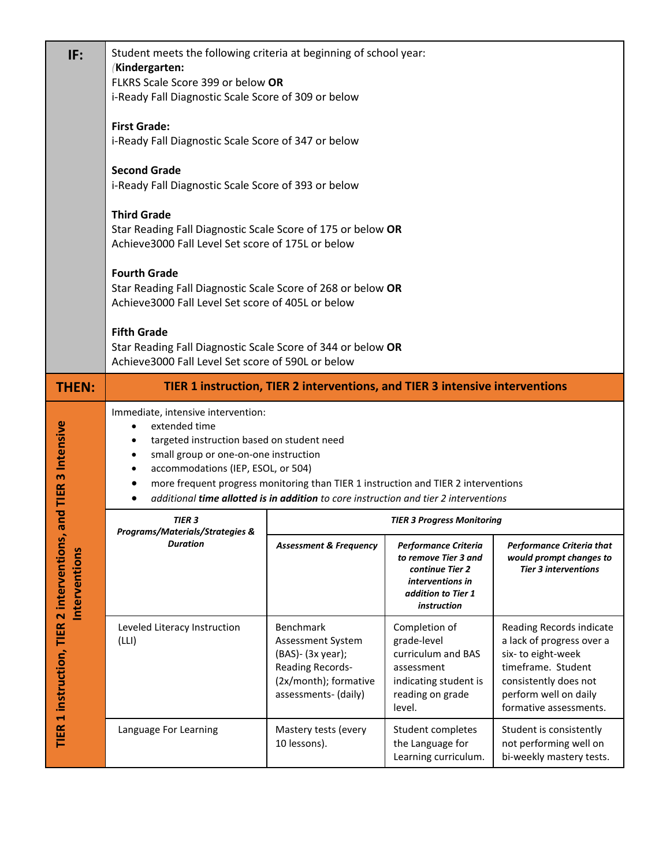| IF:                                                        | Student meets the following criteria at beginning of school year:<br>(Kindergarten:<br>FLKRS Scale Score 399 or below OR<br>i-Ready Fall Diagnostic Scale Score of 309 or below<br><b>First Grade:</b><br>i-Ready Fall Diagnostic Scale Score of 347 or below<br><b>Second Grade</b><br>i-Ready Fall Diagnostic Scale Score of 393 or below<br><b>Third Grade</b><br>Star Reading Fall Diagnostic Scale Score of 175 or below OR<br>Achieve3000 Fall Level Set score of 175L or below<br><b>Fourth Grade</b><br>Star Reading Fall Diagnostic Scale Score of 268 or below OR<br>Achieve3000 Fall Level Set score of 405L or below<br><b>Fifth Grade</b> |                                                                                                                          |                                                                                                                          |                                                                                                                                                                              |  |  |  |
|------------------------------------------------------------|--------------------------------------------------------------------------------------------------------------------------------------------------------------------------------------------------------------------------------------------------------------------------------------------------------------------------------------------------------------------------------------------------------------------------------------------------------------------------------------------------------------------------------------------------------------------------------------------------------------------------------------------------------|--------------------------------------------------------------------------------------------------------------------------|--------------------------------------------------------------------------------------------------------------------------|------------------------------------------------------------------------------------------------------------------------------------------------------------------------------|--|--|--|
|                                                            | Star Reading Fall Diagnostic Scale Score of 344 or below OR<br>Achieve3000 Fall Level Set score of 590L or below                                                                                                                                                                                                                                                                                                                                                                                                                                                                                                                                       |                                                                                                                          |                                                                                                                          |                                                                                                                                                                              |  |  |  |
| <b>THEN:</b>                                               |                                                                                                                                                                                                                                                                                                                                                                                                                                                                                                                                                                                                                                                        | TIER 1 instruction, TIER 2 interventions, and TIER 3 intensive interventions                                             |                                                                                                                          |                                                                                                                                                                              |  |  |  |
| 3 Intensive                                                | Immediate, intensive intervention:<br>extended time<br>$\bullet$<br>targeted instruction based on student need<br>$\bullet$<br>small group or one-on-one instruction<br>$\bullet$<br>accommodations (IEP, ESOL, or 504)<br>$\bullet$<br>more frequent progress monitoring than TIER 1 instruction and TIER 2 interventions<br>٠                                                                                                                                                                                                                                                                                                                        | additional time allotted is in addition to core instruction and tier 2 interventions                                     |                                                                                                                          |                                                                                                                                                                              |  |  |  |
| and TIER                                                   | <b>TIER 3</b><br>Programs/Materials/Strategies &                                                                                                                                                                                                                                                                                                                                                                                                                                                                                                                                                                                                       | <b>TIER 3 Progress Monitoring</b>                                                                                        |                                                                                                                          |                                                                                                                                                                              |  |  |  |
| TIER 1 instruction, TIER 2 interventions,<br>Interventions | <b>Duration</b>                                                                                                                                                                                                                                                                                                                                                                                                                                                                                                                                                                                                                                        | <b>Assessment &amp; Frequency</b>                                                                                        | Performance Criteria<br>to remove Tier 3 and<br>continue Tier 2<br>interventions in<br>addition to Tier 1<br>instruction | Performance Criteria that<br>would prompt changes to<br><b>Tier 3 interventions</b>                                                                                          |  |  |  |
|                                                            | Leveled Literacy Instruction<br>(LLI)                                                                                                                                                                                                                                                                                                                                                                                                                                                                                                                                                                                                                  | Benchmark<br>Assessment System<br>(BAS)- (3x year);<br>Reading Records-<br>(2x/month); formative<br>assessments- (daily) | Completion of<br>grade-level<br>curriculum and BAS<br>assessment<br>indicating student is<br>reading on grade<br>level.  | Reading Records indicate<br>a lack of progress over a<br>six-to eight-week<br>timeframe. Student<br>consistently does not<br>perform well on daily<br>formative assessments. |  |  |  |
|                                                            | Language For Learning                                                                                                                                                                                                                                                                                                                                                                                                                                                                                                                                                                                                                                  | Mastery tests (every<br>10 lessons).                                                                                     | Student completes<br>the Language for<br>Learning curriculum.                                                            | Student is consistently<br>not performing well on<br>bi-weekly mastery tests.                                                                                                |  |  |  |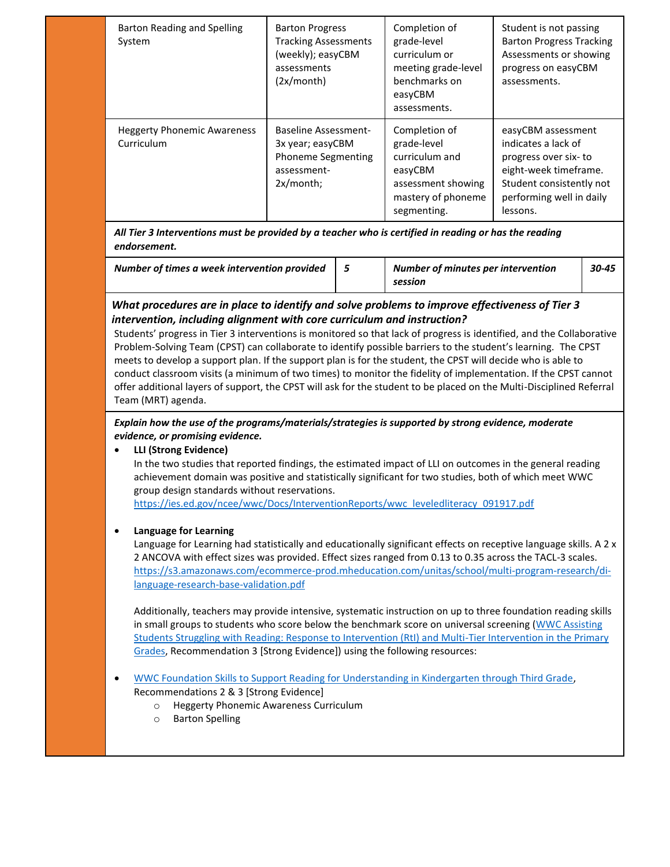| Barton Reading and Spelling<br>System            | <b>Barton Progress</b><br><b>Tracking Assessments</b><br>(weekly); easyCBM<br>assessments<br>(2x/month)     | Completion of<br>grade-level<br>curriculum or<br>meeting grade-level<br>benchmarks on<br>easyCBM<br>assessments.     | Student is not passing<br><b>Barton Progress Tracking</b><br>Assessments or showing<br>progress on easyCBM<br>assessments.                                     |
|--------------------------------------------------|-------------------------------------------------------------------------------------------------------------|----------------------------------------------------------------------------------------------------------------------|----------------------------------------------------------------------------------------------------------------------------------------------------------------|
| <b>Heggerty Phonemic Awareness</b><br>Curriculum | <b>Baseline Assessment-</b><br>3x year; easyCBM<br><b>Phoneme Segmenting</b><br>assessment-<br>$2x/m$ onth; | Completion of<br>grade-level<br>curriculum and<br>easyCBM<br>assessment showing<br>mastery of phoneme<br>segmenting. | easyCBM assessment<br>indicates a lack of<br>progress over six-to<br>eight-week timeframe.<br>Student consistently not<br>performing well in daily<br>lessons. |

*All Tier 3 Interventions must be provided by a teacher who is certified in reading or has the reading endorsement.*

| Number of times a week intervention provided | <b>Number of minutes per intervention</b> | $30 - 45$ |
|----------------------------------------------|-------------------------------------------|-----------|
|                                              | session                                   |           |

## *What procedures are in place to identify and solve problems to improve effectiveness of Tier 3 intervention, including alignment with core curriculum and instruction?*

Students' progress in Tier 3 interventions is monitored so that lack of progress is identified, and the Collaborative Problem-Solving Team (CPST) can collaborate to identify possible barriers to the student's learning. The CPST meets to develop a support plan. If the support plan is for the student, the CPST will decide who is able to conduct classroom visits (a minimum of two times) to monitor the fidelity of implementation. If the CPST cannot offer additional layers of support, the CPST will ask for the student to be placed on the Multi-Disciplined Referral Team (MRT) agenda.

## *Explain how the use of the programs/materials/strategies is supported by strong evidence, moderate evidence, or promising evidence.*

• **LLI (Strong Evidence)** In the two studies that reported findings, the estimated impact of LLI on outcomes in the general reading achievement domain was positive and statistically significant for two studies, both of which meet WWC group design standards without reservations. [https://ies.ed.gov/ncee/wwc/Docs/InterventionReports/wwc\\_leveledliteracy\\_091917.pdf](https://ies.ed.gov/ncee/wwc/Docs/InterventionReports/wwc_leveledliteracy_091917.pdf)

## • **Language for Learning**

Language for Learning had statistically and educationally significant effects on receptive language skills. A 2 x 2 ANCOVA with effect sizes was provided. Effect sizes ranged from 0.13 to 0.35 across the TACL-3 scales. [https://s3.amazonaws.com/ecommerce-prod.mheducation.com/unitas/school/multi-program-research/di](https://s3.amazonaws.com/ecommerce-prod.mheducation.com/unitas/school/multi-program-research/di-language-research-base-validation.pdf)[language-research-base-validation.pdf](https://s3.amazonaws.com/ecommerce-prod.mheducation.com/unitas/school/multi-program-research/di-language-research-base-validation.pdf)

Additionally, teachers may provide intensive, systematic instruction on up to three foundation reading skills in small groups to students who score below the benchmark score on universal screening (WWC Assisting [Students Struggling with Reading: Response to Intervention \(RtI\) and Multi-Tier Intervention in the Primary](https://ies.ed.gov/ncee/wwc/practiceguide/3)  [Grades,](https://ies.ed.gov/ncee/wwc/practiceguide/3) Recommendation 3 [Strong Evidence]) using the following resources:

- WWC [Foundation Skills to Support Reading for Understanding in Kindergarten through Third Grade,](https://ies.ed.gov/ncee/wwc/PracticeGuide/21) Recommendations 2 & 3 [Strong Evidence]
	- o Heggerty Phonemic Awareness Curriculum
	- o Barton Spelling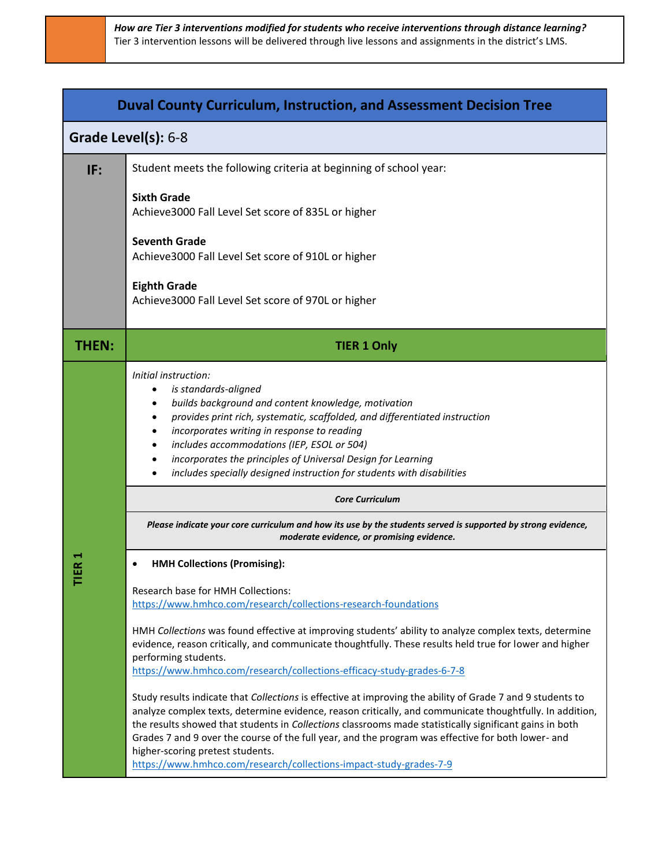|              | <b>Duval County Curriculum, Instruction, and Assessment Decision Tree</b>                                                                                                                                                                                                                                                                                                                                                                                                                                                                                                                                                                                                                                                                                                                                                                                                                                                                                                                                                |
|--------------|--------------------------------------------------------------------------------------------------------------------------------------------------------------------------------------------------------------------------------------------------------------------------------------------------------------------------------------------------------------------------------------------------------------------------------------------------------------------------------------------------------------------------------------------------------------------------------------------------------------------------------------------------------------------------------------------------------------------------------------------------------------------------------------------------------------------------------------------------------------------------------------------------------------------------------------------------------------------------------------------------------------------------|
|              | Grade Level(s): 6-8                                                                                                                                                                                                                                                                                                                                                                                                                                                                                                                                                                                                                                                                                                                                                                                                                                                                                                                                                                                                      |
| IF:          | Student meets the following criteria at beginning of school year:                                                                                                                                                                                                                                                                                                                                                                                                                                                                                                                                                                                                                                                                                                                                                                                                                                                                                                                                                        |
|              | <b>Sixth Grade</b><br>Achieve3000 Fall Level Set score of 835L or higher                                                                                                                                                                                                                                                                                                                                                                                                                                                                                                                                                                                                                                                                                                                                                                                                                                                                                                                                                 |
|              | <b>Seventh Grade</b><br>Achieve3000 Fall Level Set score of 910L or higher                                                                                                                                                                                                                                                                                                                                                                                                                                                                                                                                                                                                                                                                                                                                                                                                                                                                                                                                               |
|              | <b>Eighth Grade</b><br>Achieve3000 Fall Level Set score of 970L or higher                                                                                                                                                                                                                                                                                                                                                                                                                                                                                                                                                                                                                                                                                                                                                                                                                                                                                                                                                |
| <b>THEN:</b> | <b>TIER 1 Only</b>                                                                                                                                                                                                                                                                                                                                                                                                                                                                                                                                                                                                                                                                                                                                                                                                                                                                                                                                                                                                       |
|              | Initial instruction:<br>is standards-aligned<br>builds background and content knowledge, motivation<br>provides print rich, systematic, scaffolded, and differentiated instruction<br>incorporates writing in response to reading<br>includes accommodations (IEP, ESOL or 504)<br>incorporates the principles of Universal Design for Learning<br>includes specially designed instruction for students with disabilities<br><b>Core Curriculum</b><br>Please indicate your core curriculum and how its use by the students served is supported by strong evidence,                                                                                                                                                                                                                                                                                                                                                                                                                                                      |
|              | moderate evidence, or promising evidence.                                                                                                                                                                                                                                                                                                                                                                                                                                                                                                                                                                                                                                                                                                                                                                                                                                                                                                                                                                                |
| ⊢            | <b>HMH Collections (Promising):</b><br>Research base for HMH Collections:<br>https://www.hmhco.com/research/collections-research-foundations<br>HMH Collections was found effective at improving students' ability to analyze complex texts, determine<br>evidence, reason critically, and communicate thoughtfully. These results held true for lower and higher<br>performing students.<br>https://www.hmhco.com/research/collections-efficacy-study-grades-6-7-8<br>Study results indicate that Collections is effective at improving the ability of Grade 7 and 9 students to<br>analyze complex texts, determine evidence, reason critically, and communicate thoughtfully. In addition,<br>the results showed that students in Collections classrooms made statistically significant gains in both<br>Grades 7 and 9 over the course of the full year, and the program was effective for both lower- and<br>higher-scoring pretest students.<br>https://www.hmhco.com/research/collections-impact-study-grades-7-9 |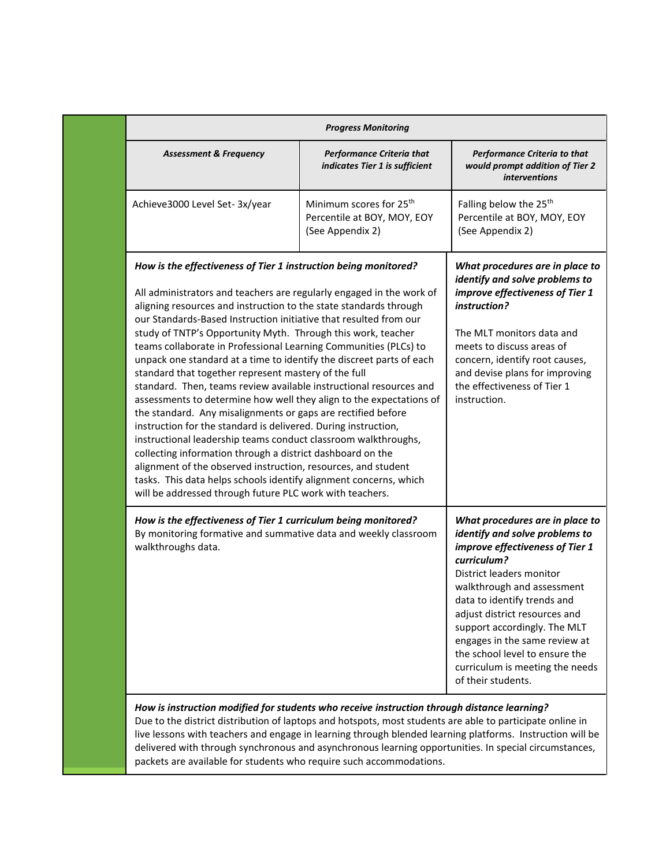| <b>Progress Monitoring</b>                                                                                                                                                                                                                                                                                                                                                                                                                                                                                                                                                                                                                                                                                                                                                                                                                                                                                                                                                                                                                                                                                                                                             |                                                                                        |                                                                                                                                                                                                                                                                                                                                                                                                           |  |  |  |  |
|------------------------------------------------------------------------------------------------------------------------------------------------------------------------------------------------------------------------------------------------------------------------------------------------------------------------------------------------------------------------------------------------------------------------------------------------------------------------------------------------------------------------------------------------------------------------------------------------------------------------------------------------------------------------------------------------------------------------------------------------------------------------------------------------------------------------------------------------------------------------------------------------------------------------------------------------------------------------------------------------------------------------------------------------------------------------------------------------------------------------------------------------------------------------|----------------------------------------------------------------------------------------|-----------------------------------------------------------------------------------------------------------------------------------------------------------------------------------------------------------------------------------------------------------------------------------------------------------------------------------------------------------------------------------------------------------|--|--|--|--|
| <b>Assessment &amp; Frequency</b>                                                                                                                                                                                                                                                                                                                                                                                                                                                                                                                                                                                                                                                                                                                                                                                                                                                                                                                                                                                                                                                                                                                                      | <b>Performance Criteria that</b><br>indicates Tier 1 is sufficient                     | Performance Criteria to that<br>would prompt addition of Tier 2<br><i>interventions</i>                                                                                                                                                                                                                                                                                                                   |  |  |  |  |
| Achieve3000 Level Set-3x/year                                                                                                                                                                                                                                                                                                                                                                                                                                                                                                                                                                                                                                                                                                                                                                                                                                                                                                                                                                                                                                                                                                                                          | Minimum scores for 25 <sup>th</sup><br>Percentile at BOY, MOY, EOY<br>(See Appendix 2) | Falling below the 25 <sup>th</sup><br>Percentile at BOY, MOY, EOY<br>(See Appendix 2)                                                                                                                                                                                                                                                                                                                     |  |  |  |  |
| How is the effectiveness of Tier 1 instruction being monitored?<br>All administrators and teachers are regularly engaged in the work of<br>aligning resources and instruction to the state standards through<br>our Standards-Based Instruction initiative that resulted from our<br>study of TNTP's Opportunity Myth. Through this work, teacher<br>teams collaborate in Professional Learning Communities (PLCs) to<br>unpack one standard at a time to identify the discreet parts of each<br>standard that together represent mastery of the full<br>standard. Then, teams review available instructional resources and<br>assessments to determine how well they align to the expectations of<br>the standard. Any misalignments or gaps are rectified before<br>instruction for the standard is delivered. During instruction,<br>instructional leadership teams conduct classroom walkthroughs,<br>collecting information through a district dashboard on the<br>alignment of the observed instruction, resources, and student<br>tasks. This data helps schools identify alignment concerns, which<br>will be addressed through future PLC work with teachers. |                                                                                        | What procedures are in place to<br>identify and solve problems to<br>improve effectiveness of Tier 1<br>instruction?<br>The MLT monitors data and<br>meets to discuss areas of<br>concern, identify root causes,<br>and devise plans for improving<br>the effectiveness of Tier 1<br>instruction.                                                                                                         |  |  |  |  |
| How is the effectiveness of Tier 1 curriculum being monitored?<br>By monitoring formative and summative data and weekly classroom<br>walkthroughs data.                                                                                                                                                                                                                                                                                                                                                                                                                                                                                                                                                                                                                                                                                                                                                                                                                                                                                                                                                                                                                |                                                                                        | What procedures are in place to<br>identify and solve problems to<br>improve effectiveness of Tier 1<br>curriculum?<br>District leaders monitor<br>walkthrough and assessment<br>data to identify trends and<br>adjust district resources and<br>support accordingly. The MLT<br>engages in the same review at<br>the school level to ensure the<br>curriculum is meeting the needs<br>of their students. |  |  |  |  |

delivered with through synchronous and asynchronous learning opportunities. In special circumstances, packets are available for students who require such accommodations.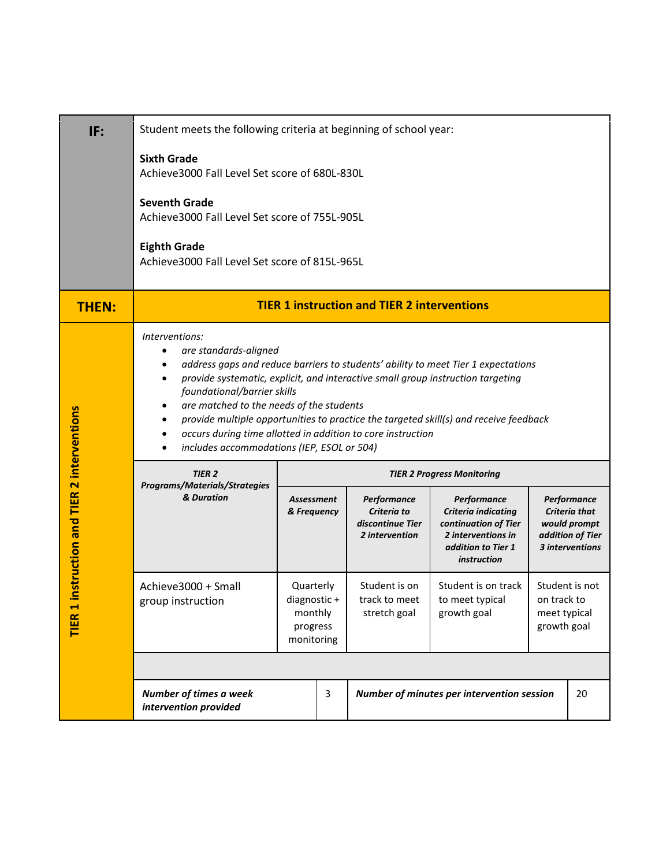| IF:                                                                         | Student meets the following criteria at beginning of school year:                                                                                                                                                                                                                                                                                                                                                                                                                                          |                                                               |                                   |                                                                  |                                                                                                                       |                                                              |                                                                                            |
|-----------------------------------------------------------------------------|------------------------------------------------------------------------------------------------------------------------------------------------------------------------------------------------------------------------------------------------------------------------------------------------------------------------------------------------------------------------------------------------------------------------------------------------------------------------------------------------------------|---------------------------------------------------------------|-----------------------------------|------------------------------------------------------------------|-----------------------------------------------------------------------------------------------------------------------|--------------------------------------------------------------|--------------------------------------------------------------------------------------------|
|                                                                             | <b>Sixth Grade</b><br>Achieve3000 Fall Level Set score of 680L-830L<br><b>Seventh Grade</b><br>Achieve3000 Fall Level Set score of 755L-905L<br><b>Eighth Grade</b><br>Achieve3000 Fall Level Set score of 815L-965L                                                                                                                                                                                                                                                                                       |                                                               |                                   |                                                                  |                                                                                                                       |                                                              |                                                                                            |
| <b>THEN:</b>                                                                |                                                                                                                                                                                                                                                                                                                                                                                                                                                                                                            |                                                               |                                   | <b>TIER 1 instruction and TIER 2 interventions</b>               |                                                                                                                       |                                                              |                                                                                            |
|                                                                             | Interventions:<br>are standards-aligned<br>address gaps and reduce barriers to students' ability to meet Tier 1 expectations<br>provide systematic, explicit, and interactive small group instruction targeting<br>٠<br>foundational/barrier skills<br>are matched to the needs of the students<br>٠<br>provide multiple opportunities to practice the targeted skill(s) and receive feedback<br>occurs during time allotted in addition to core instruction<br>includes accommodations (IEP, ESOL or 504) |                                                               |                                   |                                                                  |                                                                                                                       |                                                              |                                                                                            |
|                                                                             | <b>TIER 2</b><br>Programs/Materials/Strategies                                                                                                                                                                                                                                                                                                                                                                                                                                                             |                                                               | <b>TIER 2 Progress Monitoring</b> |                                                                  |                                                                                                                       |                                                              |                                                                                            |
| instruction and TIER 2 interventions<br>$\blacktriangleleft$<br><b>TIER</b> | & Duration                                                                                                                                                                                                                                                                                                                                                                                                                                                                                                 | Assessment<br>& Frequency                                     |                                   | Performance<br>Criteria to<br>discontinue Tier<br>2 intervention | Performance<br>Criteria indicating<br>continuation of Tier<br>2 interventions in<br>addition to Tier 1<br>instruction |                                                              | Performance<br><b>Criteria that</b><br>would prompt<br>addition of Tier<br>3 interventions |
|                                                                             | Achieve3000 + Small<br>group instruction                                                                                                                                                                                                                                                                                                                                                                                                                                                                   | Quarterly<br>diagnostic+<br>monthly<br>progress<br>monitoring |                                   | Student is on<br>track to meet<br>stretch goal                   | Student is on track<br>to meet typical<br>growth goal                                                                 | Student is not<br>on track to<br>meet typical<br>growth goal |                                                                                            |
|                                                                             |                                                                                                                                                                                                                                                                                                                                                                                                                                                                                                            |                                                               |                                   |                                                                  |                                                                                                                       |                                                              |                                                                                            |
|                                                                             | Number of times a week<br>intervention provided                                                                                                                                                                                                                                                                                                                                                                                                                                                            |                                                               | 3                                 |                                                                  | Number of minutes per intervention session                                                                            |                                                              | 20                                                                                         |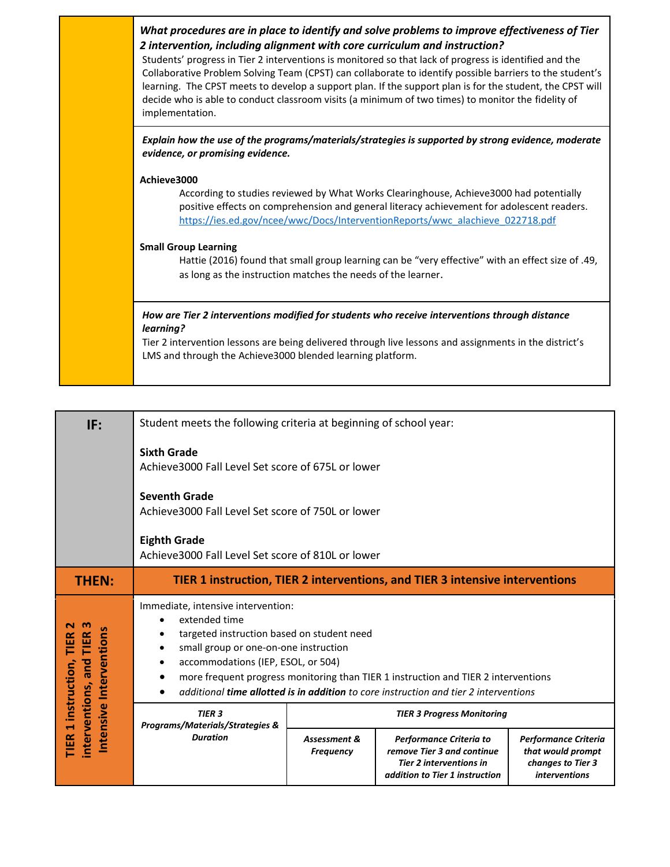| What procedures are in place to identify and solve problems to improve effectiveness of Tier<br>2 intervention, including alignment with core curriculum and instruction?<br>Students' progress in Tier 2 interventions is monitored so that lack of progress is identified and the<br>Collaborative Problem Solving Team (CPST) can collaborate to identify possible barriers to the student's<br>learning. The CPST meets to develop a support plan. If the support plan is for the student, the CPST will<br>decide who is able to conduct classroom visits (a minimum of two times) to monitor the fidelity of<br>implementation. |
|---------------------------------------------------------------------------------------------------------------------------------------------------------------------------------------------------------------------------------------------------------------------------------------------------------------------------------------------------------------------------------------------------------------------------------------------------------------------------------------------------------------------------------------------------------------------------------------------------------------------------------------|
| Explain how the use of the programs/materials/strategies is supported by strong evidence, moderate<br>evidence, or promising evidence.                                                                                                                                                                                                                                                                                                                                                                                                                                                                                                |
| Achieve3000<br>According to studies reviewed by What Works Clearinghouse, Achieve3000 had potentially<br>positive effects on comprehension and general literacy achievement for adolescent readers.<br>https://ies.ed.gov/ncee/wwc/Docs/InterventionReports/wwc_alachieve_022718.pdf<br><b>Small Group Learning</b><br>Hattie (2016) found that small group learning can be "very effective" with an effect size of .49,<br>as long as the instruction matches the needs of the learner.                                                                                                                                              |
| How are Tier 2 interventions modified for students who receive interventions through distance<br>learning?<br>Tier 2 intervention lessons are being delivered through live lessons and assignments in the district's<br>LMS and through the Achieve3000 blended learning platform.                                                                                                                                                                                                                                                                                                                                                    |

| IF:                                                                                            | Student meets the following criteria at beginning of school year:                                                                                                                             |                                  |                                                                                                                                                                                   |                                                                                               |  |  |  |
|------------------------------------------------------------------------------------------------|-----------------------------------------------------------------------------------------------------------------------------------------------------------------------------------------------|----------------------------------|-----------------------------------------------------------------------------------------------------------------------------------------------------------------------------------|-----------------------------------------------------------------------------------------------|--|--|--|
|                                                                                                | <b>Sixth Grade</b><br>Achieve 3000 Fall Level Set score of 675L or lower                                                                                                                      |                                  |                                                                                                                                                                                   |                                                                                               |  |  |  |
|                                                                                                | <b>Seventh Grade</b><br>Achieve3000 Fall Level Set score of 750L or lower                                                                                                                     |                                  |                                                                                                                                                                                   |                                                                                               |  |  |  |
|                                                                                                | <b>Eighth Grade</b><br>Achieve3000 Fall Level Set score of 810L or lower                                                                                                                      |                                  |                                                                                                                                                                                   |                                                                                               |  |  |  |
| <b>THEN:</b>                                                                                   | TIER 1 instruction, TIER 2 interventions, and TIER 3 intensive interventions                                                                                                                  |                                  |                                                                                                                                                                                   |                                                                                               |  |  |  |
| m<br>TIER<br>Intensive Intervention<br>TIER<br>interventions, and<br><b>IER 1 instruction,</b> | Immediate, intensive intervention:<br>extended time<br>$\bullet$<br>targeted instruction based on student need<br>small group or one-on-one instruction<br>accommodations (IEP, ESOL, or 504) |                                  | more frequent progress monitoring than TIER 1 instruction and TIER 2 interventions<br>additional <b>time allotted is in addition</b> to core instruction and tier 2 interventions |                                                                                               |  |  |  |
|                                                                                                | <b>TIER 3</b><br>Programs/Materials/Strategies &                                                                                                                                              |                                  | <b>TIER 3 Progress Monitoring</b>                                                                                                                                                 |                                                                                               |  |  |  |
|                                                                                                | <b>Duration</b>                                                                                                                                                                               | Assessment &<br><b>Frequency</b> | Performance Criteria to<br>remove Tier 3 and continue<br><b>Tier 2 interventions in</b><br>addition to Tier 1 instruction                                                         | <b>Performance Criteria</b><br>that would prompt<br>changes to Tier 3<br><i>interventions</i> |  |  |  |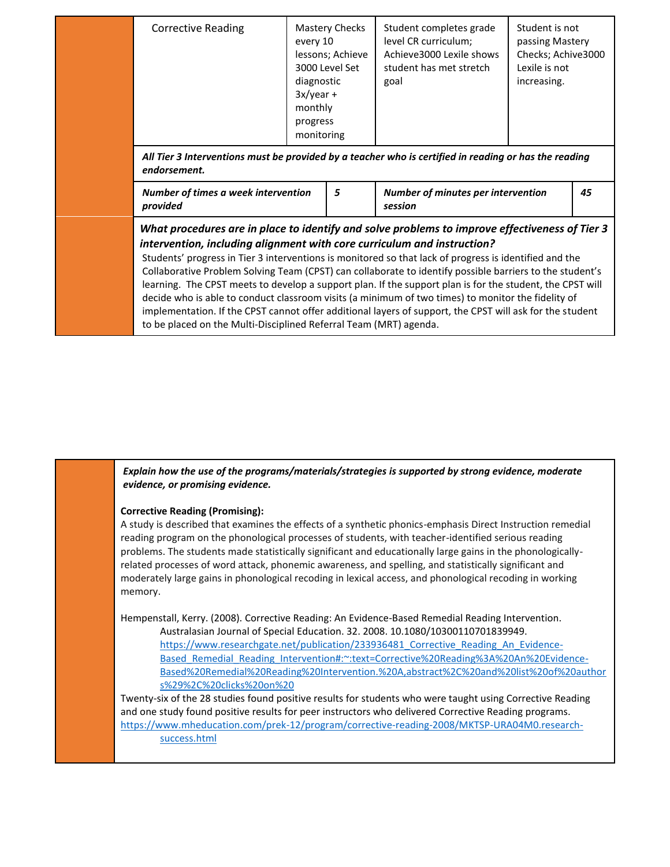| level CR curriculum;<br>passing Mastery<br>every 10<br>Achieve3000 Lexile shows<br>lessons; Achieve<br>Lexile is not<br>3000 Level Set<br>student has met stretch<br>diagnostic<br>increasing.<br>goal<br>$3x/year +$<br>monthly | <b>Corrective Reading</b>                                                                            | Mastery Checks<br>progress<br>monitoring | Student completes grade | Student is not<br>Checks; Achive3000 |
|----------------------------------------------------------------------------------------------------------------------------------------------------------------------------------------------------------------------------------|------------------------------------------------------------------------------------------------------|------------------------------------------|-------------------------|--------------------------------------|
|                                                                                                                                                                                                                                  | All Tieu 2 latemanticae must be previded by a teacher who is settlical in reading ar has the reading |                                          |                         |                                      |

*All Tier 3 Interventions must be provided by a teacher who is certified in reading or has the reading endorsement.*

| Number of times a week intervention | <b>Number of minutes per intervention</b> | 45 |
|-------------------------------------|-------------------------------------------|----|
| provided                            | session                                   |    |

## *What procedures are in place to identify and solve problems to improve effectiveness of Tier 3 intervention, including alignment with core curriculum and instruction?*

Students' progress in Tier 3 interventions is monitored so that lack of progress is identified and the Collaborative Problem Solving Team (CPST) can collaborate to identify possible barriers to the student's learning. The CPST meets to develop a support plan. If the support plan is for the student, the CPST will decide who is able to conduct classroom visits (a minimum of two times) to monitor the fidelity of implementation. If the CPST cannot offer additional layers of support, the CPST will ask for the student to be placed on the Multi-Disciplined Referral Team (MRT) agenda.

*Explain how the use of the programs/materials/strategies is supported by strong evidence, moderate evidence, or promising evidence.*

#### **Corrective Reading (Promising):**

A study is described that examines the effects of a synthetic phonics-emphasis Direct Instruction remedial reading program on the phonological processes of students, with teacher-identified serious reading problems. The students made statistically significant and educationally large gains in the phonologicallyrelated processes of word attack, phonemic awareness, and spelling, and statistically significant and moderately large gains in phonological recoding in lexical access, and phonological recoding in working memory.

Hempenstall, Kerry. (2008). Corrective Reading: An Evidence-Based Remedial Reading Intervention.

Australasian Journal of Special Education. 32. 2008. 10.1080/10300110701839949. https://www.researchgate.net/publication/233936481 Corrective Reading An Evidence-Based Remedial Reading Intervention#:~:text=Corrective%20Reading%3A%20An%20Evidence-[Based%20Remedial%20Reading%20Intervention.%20A,abstract%2C%20and%20list%20of%20author](https://www.researchgate.net/publication/233936481_Corrective_Reading_An_Evidence-Based_Remedial_Reading_Intervention#:~:text=Corrective%20Reading%3A%20An%20Evidence-Based%20Remedial%20Reading%20Intervention.%20A,abstract%2C%20and%20list%20of%20authors%29%2C%20clicks%20on%20) [s%29%2C%20clicks%20on%20](https://www.researchgate.net/publication/233936481_Corrective_Reading_An_Evidence-Based_Remedial_Reading_Intervention#:~:text=Corrective%20Reading%3A%20An%20Evidence-Based%20Remedial%20Reading%20Intervention.%20A,abstract%2C%20and%20list%20of%20authors%29%2C%20clicks%20on%20)

Twenty-six of the 28 studies found positive results for students who were taught using Corrective Reading and one study found positive results for peer instructors who delivered Corrective Reading programs. [https://www.mheducation.com/prek-12/program/corrective-reading-2008/MKTSP-URA04M0.research](https://www.mheducation.com/prek-12/program/corrective-reading-2008/MKTSP-URA04M0.research-success.html)[success.html](https://www.mheducation.com/prek-12/program/corrective-reading-2008/MKTSP-URA04M0.research-success.html)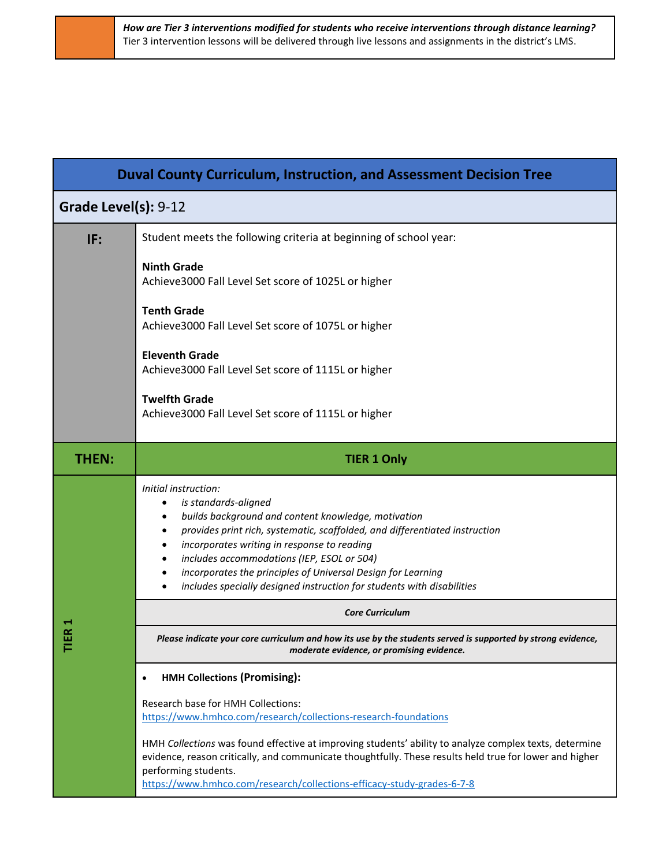|                      | <b>Duval County Curriculum, Instruction, and Assessment Decision Tree</b>                                                                                                                                                                                                                                                                                                                                                 |
|----------------------|---------------------------------------------------------------------------------------------------------------------------------------------------------------------------------------------------------------------------------------------------------------------------------------------------------------------------------------------------------------------------------------------------------------------------|
| Grade Level(s): 9-12 |                                                                                                                                                                                                                                                                                                                                                                                                                           |
| IF:                  | Student meets the following criteria at beginning of school year:                                                                                                                                                                                                                                                                                                                                                         |
|                      | <b>Ninth Grade</b><br>Achieve3000 Fall Level Set score of 1025L or higher                                                                                                                                                                                                                                                                                                                                                 |
|                      | <b>Tenth Grade</b><br>Achieve3000 Fall Level Set score of 1075L or higher                                                                                                                                                                                                                                                                                                                                                 |
|                      | <b>Eleventh Grade</b><br>Achieve3000 Fall Level Set score of 1115L or higher                                                                                                                                                                                                                                                                                                                                              |
|                      | <b>Twelfth Grade</b><br>Achieve3000 Fall Level Set score of 1115L or higher                                                                                                                                                                                                                                                                                                                                               |
| <b>THEN:</b>         | <b>TIER 1 Only</b>                                                                                                                                                                                                                                                                                                                                                                                                        |
|                      | Initial instruction:<br>is standards-aligned<br>builds background and content knowledge, motivation<br>provides print rich, systematic, scaffolded, and differentiated instruction<br>incorporates writing in response to reading<br>includes accommodations (IEP, ESOL or 504)<br>incorporates the principles of Universal Design for Learning<br>includes specially designed instruction for students with disabilities |
|                      | <b>Core Curriculum</b>                                                                                                                                                                                                                                                                                                                                                                                                    |
|                      | Please indicate your core curriculum and how its use by the students served is supported by strong evidence,<br>moderate evidence, or promising evidence.                                                                                                                                                                                                                                                                 |
|                      | <b>HMH Collections (Promising):</b><br>$\bullet$                                                                                                                                                                                                                                                                                                                                                                          |
|                      | Research base for HMH Collections:<br>https://www.hmhco.com/research/collections-research-foundations                                                                                                                                                                                                                                                                                                                     |
|                      | HMH Collections was found effective at improving students' ability to analyze complex texts, determine<br>evidence, reason critically, and communicate thoughtfully. These results held true for lower and higher<br>performing students.<br>https://www.hmhco.com/research/collections-efficacy-study-grades-6-7-8                                                                                                       |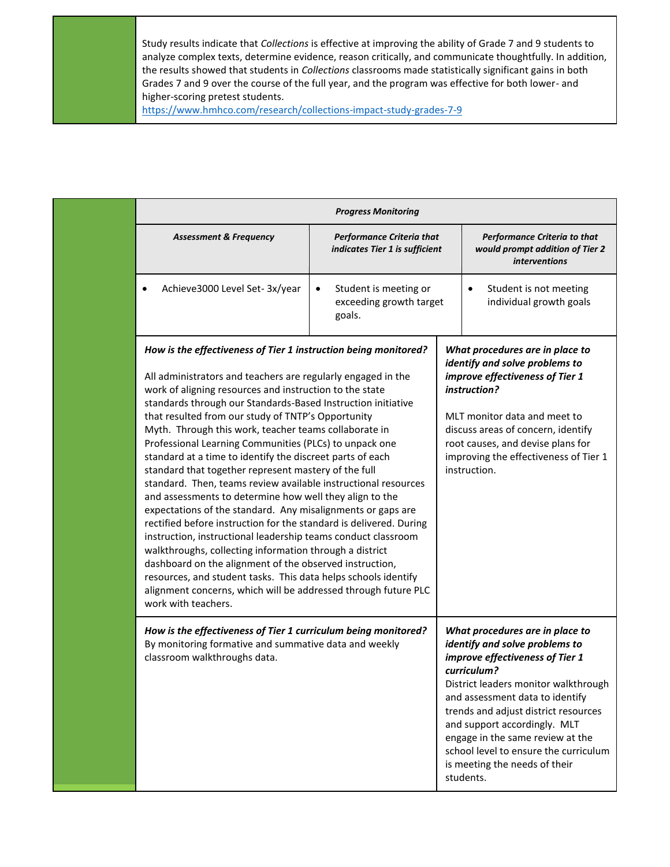Study results indicate that *Collections* is effective at improving the ability of Grade 7 and 9 students to analyze complex texts, determine evidence, reason critically, and communicate thoughtfully. In addition, the results showed that students in *Collections* classrooms made statistically significant gains in both Grades 7 and 9 over the course of the full year, and the program was effective for both lower- and higher-scoring pretest students.

<https://www.hmhco.com/research/collections-impact-study-grades-7-9>

|                                                                                                                                                                                                                                                                                                                                                                                                                                                                                                                                                                                                                                                                                                                                                                                                                                                                                                                                                                                                                                                                                                                                                                              | <b>Progress Monitoring</b>                                         |                                                                                                                                                                                                                                                                                                                                                                                                   |
|------------------------------------------------------------------------------------------------------------------------------------------------------------------------------------------------------------------------------------------------------------------------------------------------------------------------------------------------------------------------------------------------------------------------------------------------------------------------------------------------------------------------------------------------------------------------------------------------------------------------------------------------------------------------------------------------------------------------------------------------------------------------------------------------------------------------------------------------------------------------------------------------------------------------------------------------------------------------------------------------------------------------------------------------------------------------------------------------------------------------------------------------------------------------------|--------------------------------------------------------------------|---------------------------------------------------------------------------------------------------------------------------------------------------------------------------------------------------------------------------------------------------------------------------------------------------------------------------------------------------------------------------------------------------|
| <b>Assessment &amp; Frequency</b>                                                                                                                                                                                                                                                                                                                                                                                                                                                                                                                                                                                                                                                                                                                                                                                                                                                                                                                                                                                                                                                                                                                                            | <b>Performance Criteria that</b><br>indicates Tier 1 is sufficient | Performance Criteria to that<br>would prompt addition of Tier 2<br><i>interventions</i>                                                                                                                                                                                                                                                                                                           |
| Achieve3000 Level Set-3x/year<br>$\bullet$                                                                                                                                                                                                                                                                                                                                                                                                                                                                                                                                                                                                                                                                                                                                                                                                                                                                                                                                                                                                                                                                                                                                   | Student is meeting or<br>exceeding growth target<br>goals.         | Student is not meeting<br>individual growth goals                                                                                                                                                                                                                                                                                                                                                 |
| How is the effectiveness of Tier 1 instruction being monitored?<br>All administrators and teachers are regularly engaged in the<br>work of aligning resources and instruction to the state<br>standards through our Standards-Based Instruction initiative<br>that resulted from our study of TNTP's Opportunity<br>Myth. Through this work, teacher teams collaborate in<br>Professional Learning Communities (PLCs) to unpack one<br>standard at a time to identify the discreet parts of each<br>standard that together represent mastery of the full<br>standard. Then, teams review available instructional resources<br>and assessments to determine how well they align to the<br>expectations of the standard. Any misalignments or gaps are<br>rectified before instruction for the standard is delivered. During<br>instruction, instructional leadership teams conduct classroom<br>walkthroughs, collecting information through a district<br>dashboard on the alignment of the observed instruction,<br>resources, and student tasks. This data helps schools identify<br>alignment concerns, which will be addressed through future PLC<br>work with teachers. |                                                                    | What procedures are in place to<br>identify and solve problems to<br>improve effectiveness of Tier 1<br>instruction?<br>MLT monitor data and meet to<br>discuss areas of concern, identify<br>root causes, and devise plans for<br>improving the effectiveness of Tier 1<br>instruction.                                                                                                          |
| How is the effectiveness of Tier 1 curriculum being monitored?<br>By monitoring formative and summative data and weekly<br>classroom walkthroughs data.                                                                                                                                                                                                                                                                                                                                                                                                                                                                                                                                                                                                                                                                                                                                                                                                                                                                                                                                                                                                                      |                                                                    | What procedures are in place to<br>identify and solve problems to<br>improve effectiveness of Tier 1<br>curriculum?<br>District leaders monitor walkthrough<br>and assessment data to identify<br>trends and adjust district resources<br>and support accordingly. MLT<br>engage in the same review at the<br>school level to ensure the curriculum<br>is meeting the needs of their<br>students. |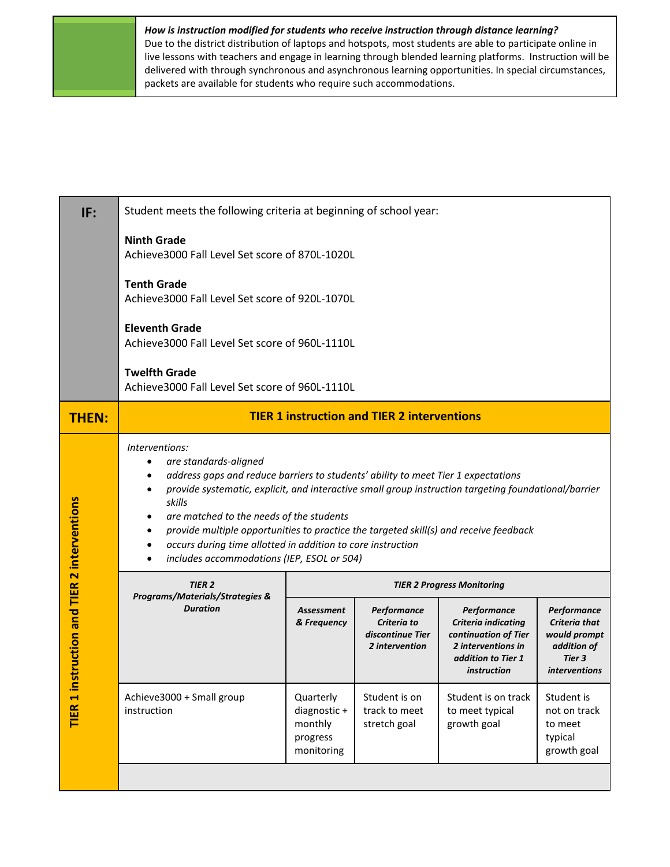### *How is instruction modified for students who receive instruction through distance learning?*

Due to the district distribution of laptops and hotspots, most students are able to participate online in live lessons with teachers and engage in learning through blended learning platforms. Instruction will be delivered with through synchronous and asynchronous learning opportunities. In special circumstances, packets are available for students who require such accommodations.

| IF:                  | Student meets the following criteria at beginning of school year:                                                                                                                                                                                                                                                                                                                                                                                                                                |                                                                |                                                                                                                                                                            |                                                                                                                              |                                                                                               |  |  |  |  |  |  |
|----------------------|--------------------------------------------------------------------------------------------------------------------------------------------------------------------------------------------------------------------------------------------------------------------------------------------------------------------------------------------------------------------------------------------------------------------------------------------------------------------------------------------------|----------------------------------------------------------------|----------------------------------------------------------------------------------------------------------------------------------------------------------------------------|------------------------------------------------------------------------------------------------------------------------------|-----------------------------------------------------------------------------------------------|--|--|--|--|--|--|
|                      | <b>Ninth Grade</b><br>Achieve3000 Fall Level Set score of 870L-1020L                                                                                                                                                                                                                                                                                                                                                                                                                             |                                                                |                                                                                                                                                                            |                                                                                                                              |                                                                                               |  |  |  |  |  |  |
|                      | <b>Tenth Grade</b><br>Achieve3000 Fall Level Set score of 920L-1070L                                                                                                                                                                                                                                                                                                                                                                                                                             |                                                                |                                                                                                                                                                            |                                                                                                                              |                                                                                               |  |  |  |  |  |  |
|                      | <b>Eleventh Grade</b><br>Achieve3000 Fall Level Set score of 960L-1110L                                                                                                                                                                                                                                                                                                                                                                                                                          |                                                                |                                                                                                                                                                            |                                                                                                                              |                                                                                               |  |  |  |  |  |  |
|                      | <b>Twelfth Grade</b><br>Achieve3000 Fall Level Set score of 960L-1110L                                                                                                                                                                                                                                                                                                                                                                                                                           |                                                                |                                                                                                                                                                            |                                                                                                                              |                                                                                               |  |  |  |  |  |  |
| <b>THEN:</b>         | <b>TIER 1 instruction and TIER 2 interventions</b>                                                                                                                                                                                                                                                                                                                                                                                                                                               |                                                                |                                                                                                                                                                            |                                                                                                                              |                                                                                               |  |  |  |  |  |  |
| 2 interventions      | Interventions:<br>are standards-aligned<br>address gaps and reduce barriers to students' ability to meet Tier 1 expectations<br>provide systematic, explicit, and interactive small group instruction targeting foundational/barrier<br>skills<br>are matched to the needs of the students<br>provide multiple opportunities to practice the targeted skill(s) and receive feedback<br>occurs during time allotted in addition to core instruction<br>includes accommodations (IEP, ESOL or 504) |                                                                |                                                                                                                                                                            |                                                                                                                              |                                                                                               |  |  |  |  |  |  |
|                      | <b>TIER 2</b><br>Programs/Materials/Strategies &                                                                                                                                                                                                                                                                                                                                                                                                                                                 | <b>TIER 2 Progress Monitoring</b>                              |                                                                                                                                                                            |                                                                                                                              |                                                                                               |  |  |  |  |  |  |
| struction and TIER   | <b>Duration</b>                                                                                                                                                                                                                                                                                                                                                                                                                                                                                  | Assessment<br>& Frequency                                      | Performance<br>Criteria to<br>discontinue Tier<br>2 intervention                                                                                                           | Performance<br>Criteria indicating<br>continuation of Tier<br>2 interventions in<br>addition to Tier 1<br><i>instruction</i> | Performance<br>Criteria that<br>would prompt<br>addition of<br>Tier 3<br><i>interventions</i> |  |  |  |  |  |  |
| TIER <sub>1</sub> in | Achieve3000 + Small group<br>instruction                                                                                                                                                                                                                                                                                                                                                                                                                                                         | Quarterly<br>diagnostic +<br>monthly<br>progress<br>monitoring | Student is on<br>Student is on track<br>Student is<br>track to meet<br>to meet typical<br>not on track<br>growth goal<br>stretch goal<br>to meet<br>typical<br>growth goal |                                                                                                                              |                                                                                               |  |  |  |  |  |  |
|                      |                                                                                                                                                                                                                                                                                                                                                                                                                                                                                                  |                                                                |                                                                                                                                                                            |                                                                                                                              |                                                                                               |  |  |  |  |  |  |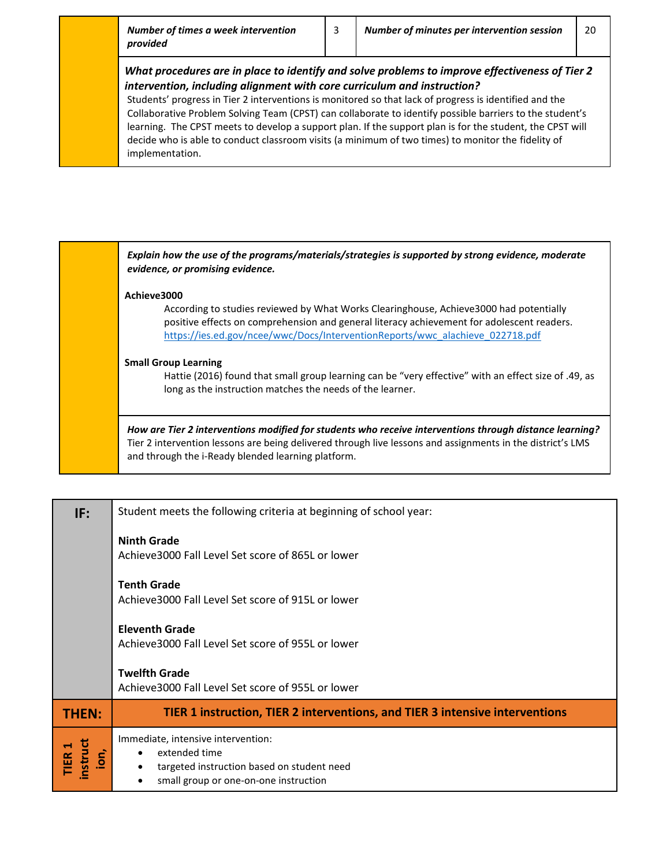#### *What procedures are in place to identify and solve problems to improve effectiveness of Tier 2 intervention, including alignment with core curriculum and instruction?*

Students' progress in Tier 2 interventions is monitored so that lack of progress is identified and the Collaborative Problem Solving Team (CPST) can collaborate to identify possible barriers to the student's learning. The CPST meets to develop a support plan. If the support plan is for the student, the CPST will decide who is able to conduct classroom visits (a minimum of two times) to monitor the fidelity of implementation.

*Explain how the use of the programs/materials/strategies is supported by strong evidence, moderate evidence, or promising evidence.* **Achieve3000** According to studies reviewed by What Works Clearinghouse, Achieve3000 had potentially positive effects on comprehension and general literacy achievement for adolescent readers. [https://ies.ed.gov/ncee/wwc/Docs/InterventionReports/wwc\\_alachieve\\_022718.pdf](https://ies.ed.gov/ncee/wwc/Docs/InterventionReports/wwc_alachieve_022718.pdf) **Small Group Learning** Hattie (2016) found that small group learning can be "very effective" with an effect size of .49, as long as the instruction matches the needs of the learner. *How are Tier 2 interventions modified for students who receive interventions through distance learning?* Tier 2 intervention lessons are being delivered through live lessons and assignments in the district's LMS and through the i-Ready blended learning platform.

| IF:                                                     | Student meets the following criteria at beginning of school year:                                                                                                                 |
|---------------------------------------------------------|-----------------------------------------------------------------------------------------------------------------------------------------------------------------------------------|
|                                                         | <b>Ninth Grade</b><br>Achieve3000 Fall Level Set score of 865L or lower                                                                                                           |
|                                                         | <b>Tenth Grade</b><br>Achieve3000 Fall Level Set score of 915L or lower                                                                                                           |
|                                                         | <b>Eleventh Grade</b><br>Achieve3000 Fall Level Set score of 955L or lower                                                                                                        |
|                                                         | <b>Twelfth Grade</b><br>Achieve3000 Fall Level Set score of 955L or lower                                                                                                         |
| <b>THEN:</b>                                            | TIER 1 instruction, TIER 2 interventions, and TIER 3 intensive interventions                                                                                                      |
| nstruct<br>IER <sub>1</sub><br>$\overline{\mathsf{on}}$ | Immediate, intensive intervention:<br>extended time<br>$\bullet$<br>targeted instruction based on student need<br>$\bullet$<br>small group or one-on-one instruction<br>$\bullet$ |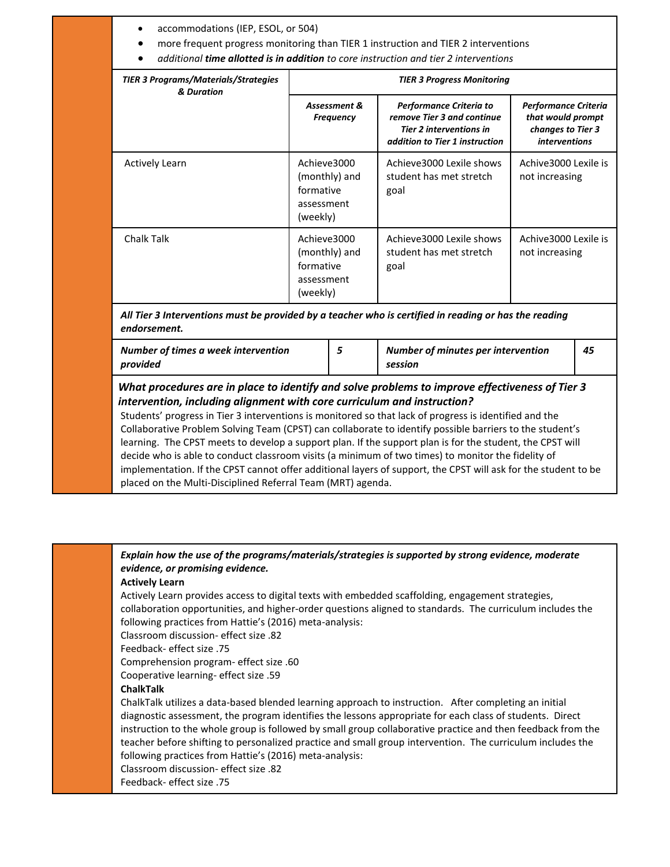| <b>TIER 3 Programs/Materials/Strategies</b><br>& Duration                                                                                                                                                                                                                                                                                                                                                                                                                                                                                                                                                                                                                                                                                                                                           | <b>TIER 3 Progress Monitoring</b>                                   |               |                                                                                                                           |                                                                                        |    |  |  |  |
|-----------------------------------------------------------------------------------------------------------------------------------------------------------------------------------------------------------------------------------------------------------------------------------------------------------------------------------------------------------------------------------------------------------------------------------------------------------------------------------------------------------------------------------------------------------------------------------------------------------------------------------------------------------------------------------------------------------------------------------------------------------------------------------------------------|---------------------------------------------------------------------|---------------|---------------------------------------------------------------------------------------------------------------------------|----------------------------------------------------------------------------------------|----|--|--|--|
|                                                                                                                                                                                                                                                                                                                                                                                                                                                                                                                                                                                                                                                                                                                                                                                                     | Assessment &<br><b>Frequency</b>                                    |               | Performance Criteria to<br>remove Tier 3 and continue<br><b>Tier 2 interventions in</b><br>addition to Tier 1 instruction | Performance Criteria<br>that would prompt<br>changes to Tier 3<br><i>interventions</i> |    |  |  |  |
| <b>Actively Learn</b>                                                                                                                                                                                                                                                                                                                                                                                                                                                                                                                                                                                                                                                                                                                                                                               | Achieve3000<br>formative<br>assessment<br>(weekly)                  | (monthly) and | Achieve3000 Lexile shows<br>student has met stretch<br>goal                                                               | Achive 3000 Lexile is<br>not increasing                                                |    |  |  |  |
| Chalk Talk                                                                                                                                                                                                                                                                                                                                                                                                                                                                                                                                                                                                                                                                                                                                                                                          | Achieve3000<br>(monthly) and<br>formative<br>assessment<br>(weekly) |               | Achieve3000 Lexile shows<br>student has met stretch<br>goal                                                               | Achive3000 Lexile is<br>not increasing                                                 |    |  |  |  |
| All Tier 3 Interventions must be provided by a teacher who is certified in reading or has the reading<br>endorsement.                                                                                                                                                                                                                                                                                                                                                                                                                                                                                                                                                                                                                                                                               |                                                                     |               |                                                                                                                           |                                                                                        |    |  |  |  |
| Number of times a week intervention<br>provided                                                                                                                                                                                                                                                                                                                                                                                                                                                                                                                                                                                                                                                                                                                                                     |                                                                     | 5             | Number of minutes per intervention<br>session                                                                             |                                                                                        | 45 |  |  |  |
| What procedures are in place to identify and solve problems to improve effectiveness of Tier 3<br>intervention, including alignment with core curriculum and instruction?<br>Students' progress in Tier 3 interventions is monitored so that lack of progress is identified and the<br>Collaborative Problem Solving Team (CPST) can collaborate to identify possible barriers to the student's<br>learning. The CPST meets to develop a support plan. If the support plan is for the student, the CPST will<br>decide who is able to conduct classroom visits (a minimum of two times) to monitor the fidelity of<br>implementation. If the CPST cannot offer additional layers of support, the CPST will ask for the student to be<br>placed on the Multi-Disciplined Referral Team (MRT) agenda. |                                                                     |               |                                                                                                                           |                                                                                        |    |  |  |  |

*Explain how the use of the programs/materials/strategies is supported by strong evidence, moderate evidence, or promising evidence.* **Actively Learn** Actively Learn provides access to digital texts with embedded scaffolding, engagement strategies, collaboration opportunities, and higher-order questions aligned to standards. The curriculum includes the following practices from Hattie's (2016) meta-analysis: Classroom discussion- effect size .82 Feedback- effect size .75 Comprehension program- effect size .60 Cooperative learning- effect size .59 **ChalkTalk** ChalkTalk utilizes a data-based blended learning approach to instruction. After completing an initial diagnostic assessment, the program identifies the lessons appropriate for each class of students. Direct instruction to the whole group is followed by small group collaborative practice and then feedback from the teacher before shifting to personalized practice and small group intervention. The curriculum includes the following practices from Hattie's (2016) meta-analysis: Classroom discussion- effect size .82 Feedback- effect size .75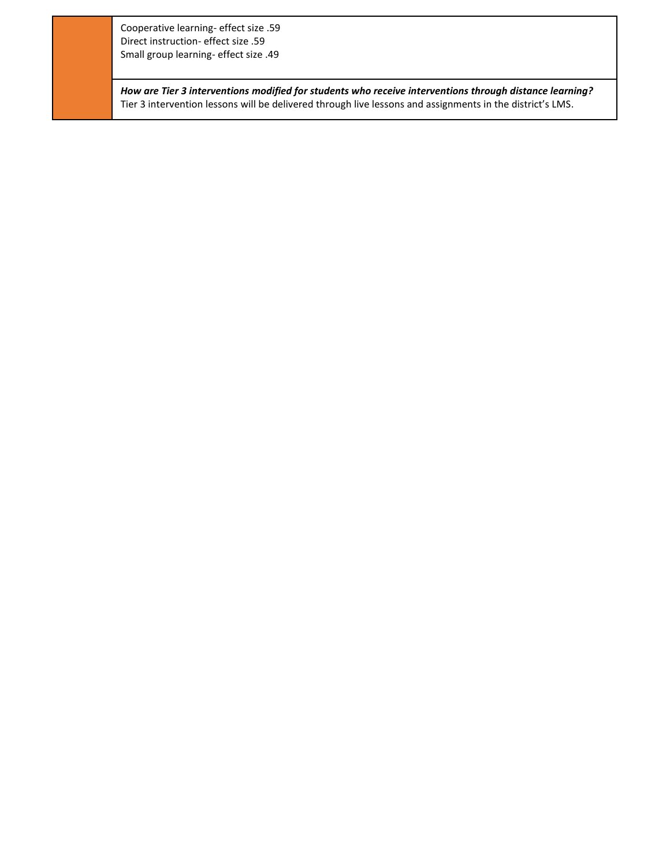Cooperative learning- effect size .59 Direct instruction- effect size .59 Small group learning- effect size .49

*How are Tier 3 interventions modified for students who receive interventions through distance learning?* Tier 3 intervention lessons will be delivered through live lessons and assignments in the district's LMS.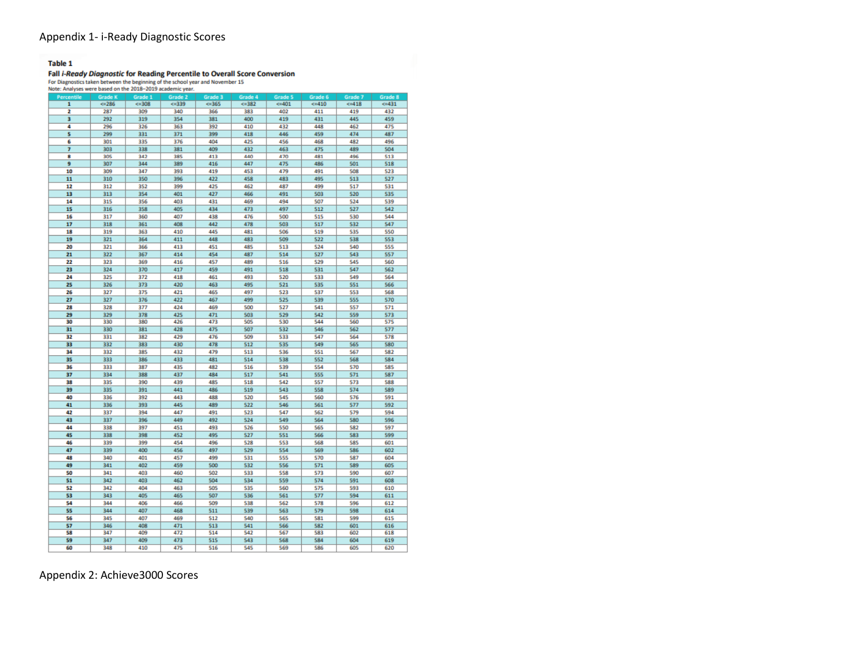#### Appendix 1- i-Ready Diagnostic Scores

#### **Table 1**

# Fall *i-Ready Diagnostic* for Reading Percentile to Overall Score Conversion<br>For Diagnostics taken between the beginning of the school year and November 15<br>Note: Analyses were based on the 2018-2019 academic year.

| indie. Analyses were based on the zulla-zulle acquemic year. |                |           |         |           |         |                |            |           |                |
|--------------------------------------------------------------|----------------|-----------|---------|-----------|---------|----------------|------------|-----------|----------------|
| Percentile                                                   | <b>Grade K</b> | Grade 1   | Grade 2 | Grade 3   | Grade 4 | <b>Grade 5</b> | Grade 6    | Grade 7   | <b>Grade 8</b> |
| 1                                                            | $= 286$        | $5 - 308$ | 5339    | $4 - 365$ | 5382    | 401            | $5 - 410$  | $5 - 418$ | 431            |
| 2                                                            | 287            | 309       | 340     | 366       | 383     | 402            | 411        | 419       | 432            |
| 3                                                            | 292            | 319       | 354     | 381       | 400     | 419            | 431        | 445       | 459            |
| 4                                                            | 296            | 326       | 363     | 392       | 410     | 432            | 448        | 462       | 475            |
| 5                                                            | 299            | 331       | 371     | 399       | 418     | 446            | 459        | 474       | 487            |
| 6                                                            | 301            | 335       | 376     | 404       | 425     | 456            | 468        | 482       | 496            |
| 7                                                            | 303            | 338       | 381     | 409       | 432     | 463            | 475        | 489       | 504            |
| 8                                                            | 305            | 342       | 385     | 413       | 440     | 470            | 481        | 496       | 513            |
|                                                              |                |           |         |           |         |                |            |           |                |
| 9                                                            | 307            | 344       | 389     | 416       | 447     | 475            | 486        | 501       | 518            |
| 10                                                           | 309            | 347       | 393     | 419       | 453     | 479            | 491        | 508       | 523            |
| 11                                                           | 310            | 350       | 396     | 422       | 458     | 483            | 495        | 513       | 527            |
| 12                                                           | 312            | 352       | 399     | 425       | 462     | 487            | 499        | 517       | 531            |
| 13                                                           | 313            | 354       | 401     | 427       | 466     | 491            | 503        | 520       | 535            |
| 14                                                           | 315            | 356       | 403     | 431       | 469     | 494            | 507        | 524       | 539            |
| 15                                                           | 316            | 358       | 405     | 434       | 473     | 497            | 512        | 527       | 542            |
| 16                                                           | 317            | 360       | 407     | 438       | 476     | 500            | 515        | 530       | 544            |
| 17                                                           | 318            | 361       | 408     | 442       | 478     | 503            | 517        | 532       | 547            |
| 18                                                           | 319            | 363       | 410     | 445       | 481     | 506            | 519        | 535       | 550            |
| 19                                                           | 321            | 364       | 411     | 448       | 483     | 509            | 522        | 538       | 553            |
| 20                                                           | 321            | 366       | 413     | 451       | 485     | 513            | 524        | 540       | SSS            |
| 21                                                           | 322            | 367       | 414     | 454       | 487     | 514            | 527        | 543       | 557            |
|                                                              |                |           |         |           |         |                |            |           |                |
| 22                                                           | 323            | 369       | 416     | 457       | 489     | 516            | 529        | 545       | 560            |
| 23                                                           | 324            | 370       | 417     | 459       | 491     | 518            | 531        | 547       | 562            |
| 24                                                           | 325            | 372       | 418     | 461       | 493     | 520            | 533        | 549       | 564            |
| 25                                                           | 326            | 373       | 420     | 463       | 495     | 521            | 535        | 551       | 566            |
| 26                                                           | 327            | 375       | 421     | 465       | 497     | 523            | 537        | 553       | 568            |
| 27                                                           | 327            | 376       | 422     | 467       | 499     | 525            | 539        | 555       | 570            |
| 28                                                           | 328            | 377       | 424     | 469       | 500     | 527            | 541        | 557       | 571            |
| 29                                                           | 329            | 378       | 425     | 471       | 503     | 529            | 542        | 559       | 573            |
| 30                                                           | 330            | 380       | 426     | 473       | 505     | 530            | 544        | 560       | 575            |
| 31                                                           | 330            | 381       | 428     | 475       | 507     | 532            | 546        | 562       | 577            |
| 32                                                           | 331            | 382       | 429     | 476       | 509     | 533            | 547        | 564       | 578            |
| 33                                                           | 332            | 383       | 430     | 478       | 512     | 535            | 549        | 565       | 580            |
| 34                                                           | 332            | 385       | 432     | 479       | 513     | 536            | 551        | 567       | 582            |
| 35                                                           | 333            | 386       | 433     | 481       | 514     | 538            | 552        | 568       | 584            |
| 36                                                           | 333            | 387       | 435     | 482       | 516     | 539            | 554        | 570       | 585            |
| 37                                                           | 334            | 388       | 437     | 484       | 517     | 541            | 555        | 571       | 587            |
|                                                              |                |           |         |           |         |                |            |           |                |
| 38                                                           | 335            | 390       | 439     | 485       | 518     | 542            | 557        | 573       | 588            |
| 39                                                           | 335            | 391       | 441     | 486       | 519     | 543            | 558        | 574       | 589            |
| 40                                                           | 336            | 392       | 443     | 488       | 520     | 545            | 560        | 576       | 591            |
| 41                                                           | 336            | 393       | 445     | 489       | 522     | 546            | 561        | 577       | 592            |
| 42                                                           | 337            | 394       | 447     | 491       | 523     | 547            | 562        | 579       | 594            |
| 43                                                           | 337            | 396       | 449     | 492       | 524     | 549            | 564        | 580       | 596            |
| 44                                                           | 338            | 397       | 451     | 493       | 526     | 550            | <b>565</b> | 582       | 597            |
| 45                                                           | 338            | 398       | 452     | 495       | 527     | 551            | 566        | 583       | 599            |
| 46                                                           | 339            | 399       | 454     | 496       | 528     | 553            | 568        | 585       | 601            |
| 47                                                           | 339            | 400       | 456     | 497       | 529     | 554            | 569        | 586       | 602            |
| 48                                                           | 340            | 401       | 457     | 499       | 531     | <b>SSS</b>     | 570        | 587       | 604            |
| 49                                                           | 341            | 402       | 459     | 500       | 532     | 556            | 571        | 589       | 605            |
| 50                                                           | 341            | 403       | 460     | 502       | 533     | 558            | 573        | 590       | 607            |
| 51                                                           | 342            | 403       | 462     | 504       | 534     | 559            | 574        | 591       | 608            |
| 52                                                           | 342            | 404       | 463     | 505       | 535     | 560            | 575        | 593       | 610            |
| 53                                                           | 343            | 405       | 465     | 507       | 536     | 561            | 577        | 594       | 611            |
| 54                                                           | 344            | 406       | 466     | 509       | 538     | 562            | 578        | 596       | 612            |
|                                                              |                |           |         |           |         |                |            |           |                |
| 55                                                           | 344            | 407       | 468     | 511       | 539     | 563            | 579        | 598       | 614            |
| 56                                                           | 345            | 407       | 469     | 512       | 540     | 565            | 581        | 599       | 615            |
| 57                                                           | 346            | 408       | 471     | 513       | 541     | 566            | 582        | 601       | 616            |
| 58                                                           | 347            | 409       | 472     | 514       | 542     | 567            | 583        | 602       | 618            |
| 59                                                           | 347            | 409       | 473     | 515       | 543     | 568            | 584        | 604       | 619            |
| 60                                                           | 348            | 410       | 475     | 516       | 545     | 569            | 586        | 605       | 620            |

Appendix 2: Achieve3000 Scores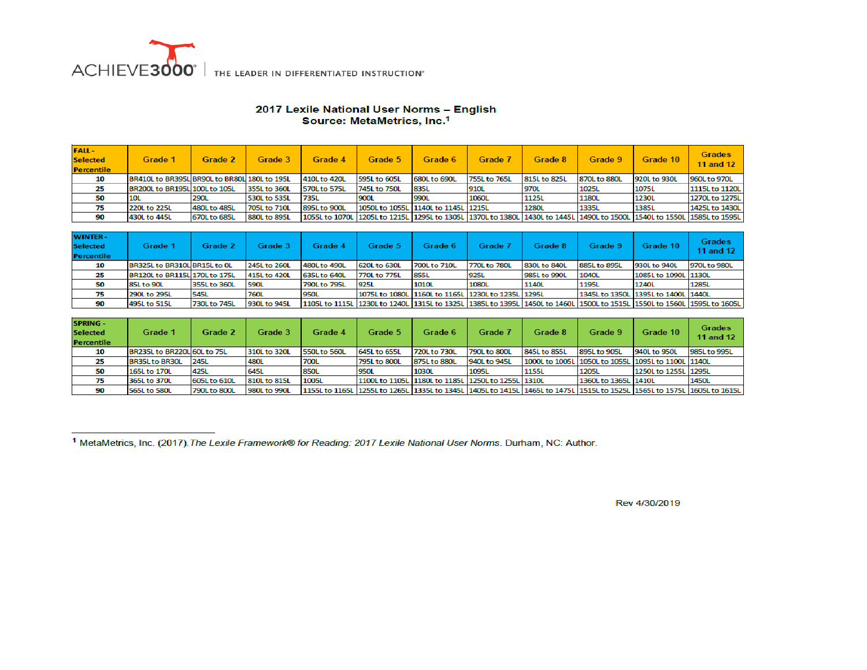

# 2017 Lexile National User Norms - English<br>Source: MetaMetrics, Inc.<sup>1</sup>

| <b>FALL-</b><br><b>Selected</b><br><b>Percentile</b> | Grade 1                                      | Grade 2      | Grade 3      | Grade 4      | Grade 5                             | Grade 6      | Grade 7      | Grade 8      | Grade 9                                                                                                                 | Grade 10     | <b>Grades</b><br><b>11 and 12</b> |
|------------------------------------------------------|----------------------------------------------|--------------|--------------|--------------|-------------------------------------|--------------|--------------|--------------|-------------------------------------------------------------------------------------------------------------------------|--------------|-----------------------------------|
| 10                                                   | BR410L to BR395L BR90L to BR80L 180L to 195L |              |              | 410L to 420L | 595L to 605L                        | 680L to 690L | 755L to 765L | 815L to 825L | 870L to 880L                                                                                                            | 920L to 930L | 960L to 970L                      |
| 25                                                   | BR200L to BR195L 100L to 105L                |              | 355L to 360L | 570L to 575L | 745L to 750L                        | 835L         | 910L         | 970L         | 1025L                                                                                                                   | 1075L        | 1115L to 1120L                    |
| 50                                                   | 10L                                          | <b>290L</b>  | 530L to 535L | 735L         | <b>900L</b>                         | 990L         | 1060L        | <b>1125L</b> | 1180L                                                                                                                   | 1230L        | 1270L to 1275L                    |
| 75                                                   | 220L to 225L                                 | 480L to 485L | 705L to 710L | 895L to 900L | 1050L to 1055L 1140L to 1145L 1215L |              |              | <b>1280L</b> | 1335L                                                                                                                   | 1385L        | 1425L to 1430L                    |
| 90                                                   | 430L to 445L                                 | 670L to 685L | 880L to 895L |              |                                     |              |              |              | 1055L to 1070L 1205L to 1215L 1295L to 1305L 1370L to 1380L 1430L to 1445L 1490L to 1500L 1540L to 1550L 1585L to 1595L |              |                                   |

| <b>WINTER-</b><br><b>Selected</b><br><b>Percentile</b> | Grade 1                       | Grade 2      | Grade 3      | Grade 4      | Grade 5                                            | Grade 6      | Grade 7      | Grade 8      | Grade 9.                            | Grade 10             | <b>Grades</b><br>11 and 12                                                                                              |
|--------------------------------------------------------|-------------------------------|--------------|--------------|--------------|----------------------------------------------------|--------------|--------------|--------------|-------------------------------------|----------------------|-------------------------------------------------------------------------------------------------------------------------|
| 10                                                     | BR325L to BR310L BR15L to OL  |              | 245L to 260L | 480L to 490L | 620L to 630L                                       | 700L to 710L | 770L to 780L | 830L to 840L | 885L to 895L                        | 930L to 940L         | 970L to 980L                                                                                                            |
| 25                                                     | BR120L to BR115L 170L to 175L |              | 415L to 420L | 635L to 640L | 770L to 775L                                       | <b>855L</b>  | 925L         | 985L to 990L | 1040L                               | 1085L to 1090L 1130L |                                                                                                                         |
| 50                                                     | 85L to 90L                    | 355L to 360L | 590L         | 790L to 795L | 925L                                               | 1010L        | 1080L        | 1140L        | 1195L                               | 1240L                | 1285L                                                                                                                   |
|                                                        | 290L to 295L                  | <b>545L</b>  | <b>760L</b>  | 950L         | 1075L to 1080L 1160L to 1165L 1230L to 1235L 1295L |              |              |              | 1345L to 1350L 1395L to 1400L 1440L |                      |                                                                                                                         |
| 90                                                     | 495L to 515L                  | 730L to 745L | 930L to 945L |              |                                                    |              |              |              |                                     |                      | 1105L to 1115L 1230L to 1240L 1315L to 1325L 1385L to 1395L 1450L to 1460L 1500L to 1515L 1550L to 1560L 1595L to 1605L |

| SPRING -<br><b>Selected</b><br>Percentile | Grade 1                     | Grade 2      | Grade 3      | Grade 4                                                                                                                 | Grade 5      | Grade 6                                            | Grade 7      | Grade 8      | Grade 9                                            | Grade 10             | <b>Grades</b><br>11 and 12 |
|-------------------------------------------|-----------------------------|--------------|--------------|-------------------------------------------------------------------------------------------------------------------------|--------------|----------------------------------------------------|--------------|--------------|----------------------------------------------------|----------------------|----------------------------|
| 10                                        | BR235L to BR220L 60L to 75L |              | 310L to 320L | <b>550L to 560L</b>                                                                                                     | 645L to 655L | 720L to 730L                                       | 790L to 800L | 845L to 855L | 895L to 905L                                       | 940L to 950L         | 985L to 995L               |
| 25                                        | <b>BR35L to BR30L</b>       | <b>245L</b>  | 480L         | <b>700L</b>                                                                                                             | 795L to 800L | 875L to 880L                                       | 940L to 945L |              | 1000L to 1005L 1050L to 1055L 1095L to 1100L 1140L |                      |                            |
| 50                                        | 165L to 170L                | 425L         | 645L         | <b>850L</b>                                                                                                             | <b>950L</b>  | <b>1030L</b>                                       | 1095L        | 1155L        | 1205L                                              | 1250L to 1255L 1295L |                            |
|                                           | 365L to 370L                | 605L to 610L | 810L to 815L | 1005L                                                                                                                   |              | 1100L to 1105L 1180L to 1185L 1250L to 1255L 1310L |              |              | 1360L to 1365L 1410L                               |                      | 1450L                      |
| 90                                        | 565L to 580L                | 790L to 800L | 980L to 990L | 1155L to 1165L 1255L to 1265L 1335L to 1345L 1405L to 1415L 1465L to 1475L 1515L to 1525L 1565L to 1575L 1605L to 1615L |              |                                                    |              |              |                                                    |                      |                            |

<sup>1</sup> MetaMetrics, Inc. (2017). The Lexile Framework® for Reading: 2017 Lexile National User Norms. Durham, NC: Author.

Rev 4/30/2019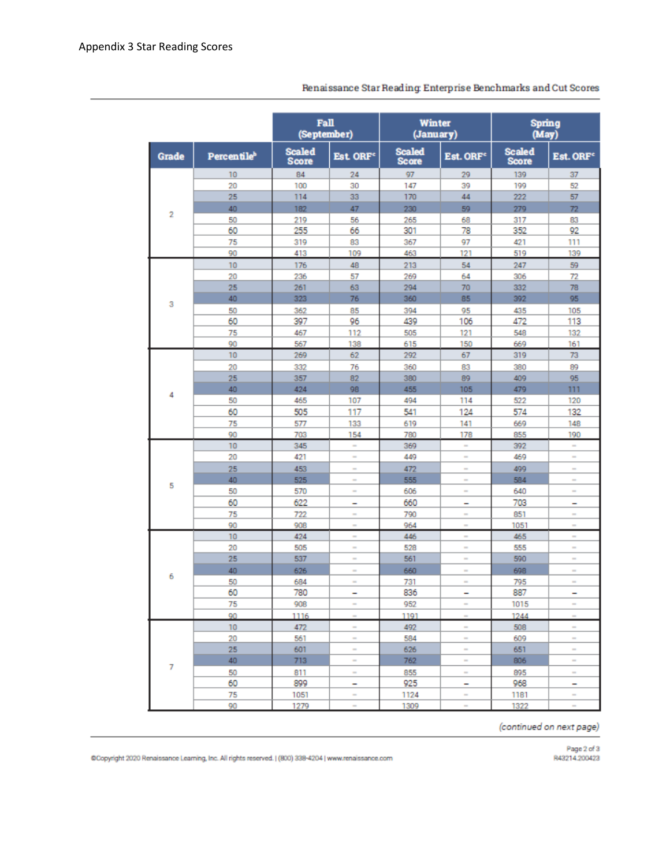|              |                                | Fall<br>(September)           |                          | Winter<br>(January)           |                       | Spring<br>(May)               |                          |
|--------------|--------------------------------|-------------------------------|--------------------------|-------------------------------|-----------------------|-------------------------------|--------------------------|
| <b>Grade</b> | <b>Percentile</b> <sup>b</sup> | <b>Scaled</b><br><b>Score</b> | Est ORF <sup>e</sup>     | <b>Scaled</b><br><b>Score</b> | Est. ORF <sup>e</sup> | <b>Scaled</b><br><b>Score</b> | Est. ORF <sup>c</sup>    |
|              | 10                             | 84                            | 24                       | 97                            | 29                    | 139                           | 37                       |
|              | 20                             | 100                           | 30                       | 147                           | 39                    | 199                           | 52                       |
|              | 25                             | 114                           | 33                       | 170                           | 44                    | 222                           | 57                       |
|              | 40                             | 182                           | 47                       | 230                           | 59                    | 279                           | 72                       |
| 2            | 50                             | 219                           | 56                       | 265                           | 68                    | 317                           | 83                       |
|              | 60                             | 255                           | 66                       | 301                           | 78                    | 352                           | 92                       |
|              | 75                             | 319                           | 83                       | 367                           | 97                    | 421                           | 111                      |
|              | 90                             | 413                           | 109                      | 463                           | 121                   | 519                           | 139                      |
|              | 10                             | 176                           | 48                       | 213                           | 54                    | 247                           | 59                       |
|              | 20                             | 236                           | 57                       | 269                           | 64                    | 306                           | 72                       |
|              | 25                             | 261                           | 63                       | 294                           | 70                    | 332                           | 78                       |
|              | 40                             | 323                           | 76                       | 360                           | 85                    | 392                           | 95                       |
| 3            | 50                             | 362                           | 85                       | 394                           | 95                    | 435                           | 105                      |
|              | 60                             | 397                           | 96                       | 439                           | 106                   | 472                           | 113                      |
|              | 75                             | 467                           | 112                      | 505                           | 121                   | 548                           | 132                      |
|              | 90                             | 567                           | 138                      | 615                           | 150                   | 669                           | 161                      |
|              | 10                             | 269                           | 62                       | 292                           | 67                    | 319                           | 73                       |
|              | 20                             | 332                           | 76                       | 360                           | 83                    | 380                           | 89                       |
|              | 25                             | 357                           | 82                       | 380                           | 89                    | 409                           | 95                       |
|              | 40                             | 424                           | 98                       | 455                           | 105                   | 479                           | 111                      |
| 4            | 50                             | 465                           | 107                      | 494                           | 114                   | 522                           | 120                      |
|              | 60                             | 505                           | 117                      | 541                           | 124                   | 574                           | 132                      |
|              | 75                             | 577                           | 133                      | 619                           | 141                   | 669                           | 148                      |
|              | 90                             | 703                           | 154                      | 780                           | 178                   | 855                           | 190                      |
|              | 10                             | 345                           | $\sim$                   | 369                           | $\sim$                | 392                           | ×.                       |
|              | 20                             | 421                           | $\sim$                   | 449                           | $\sim$                | 469                           | $\sim$                   |
|              | 25                             | 453                           | $\sim$                   | 472                           | $\blacksquare$        | 499                           | $\overline{\phantom{a}}$ |
|              | 40                             | 525                           | $\sim$                   | 555                           | $\blacksquare$        | 584                           | $\blacksquare$           |
| 5            | 50                             | 570                           | ×                        | 606                           | $\blacksquare$        | 640                           | $\overline{\phantom{a}}$ |
|              | 60                             | 622                           | -                        | 660                           | -                     | 703                           | -                        |
|              | 75                             | 722                           | ×                        | 790                           | $\sim$                | 851                           | $\sim$                   |
|              | 90                             | 908                           | $\overline{\phantom{a}}$ | 964                           | $\sim$                | 1051                          | $\sim$                   |
|              | 10                             | 424                           | $\sim$                   | 446                           | $\sim$                | 465                           | $\sim$                   |
|              | 20                             | 505                           | $\sim$                   | 528                           | $\sim$                | 555                           | $\sim$                   |
|              | 25                             | 537                           | $\sim$                   | 561                           | $\equiv$              | 590                           | $\equiv$                 |
|              | 40                             | 626                           | $\sim$                   | 660                           | $\blacksquare$        | 698                           | $\sim$                   |
| 6            | 50                             | 684                           | ×                        | 731                           | $\blacksquare$        | 795                           | $\overline{\phantom{a}}$ |
|              | 60                             | 780                           | -                        | 836                           | -                     | 887                           | -                        |
|              | 75                             | 908                           | $\sim$                   | 952                           | $\sim$                | 1015                          | $\sim$                   |
|              | 90                             | 1116                          | ۰                        | 1191                          | ÷                     | 1244                          | $\blacksquare$           |
|              | 10                             | 472                           | $\sim$                   | 492                           | $\sim$                | 508                           | $\blacksquare$           |
|              | 20                             | 561                           | $\sim$                   | 584                           | $\equiv$              | 609                           | $\sim$                   |
|              | 25                             | 601                           | $\sim$                   | 626                           | $\blacksquare$        | 651                           | $\equiv$                 |
|              | 40                             | 713                           | $\sim$                   | 762                           | $\sim$                | 806                           | $\sim$                   |
| 7            | 50                             | 811                           | $\sim$                   | 855                           | $\equiv$              | 895                           | $\sim$                   |
|              | 60                             | 899                           | ٠                        | 925                           | -                     | 968                           | -                        |
|              | 75                             | 1051                          | ×                        | 1124                          | $\sim$                | 1181                          | $\sim$                   |
|              | 90                             | 1279                          | $\sim$                   | 1309                          | $\sim$                | 1322                          | $\sim$                   |

Renaissance Star Reading: Enterprise Benchmarks and Cut Scores

(continued on next page)

@Copyright 2020 Renaissance Learning, Inc. All rights reserved. ((800) 338-4204 | www.renaissance.com

Page 2 of 3<br>R43214.200423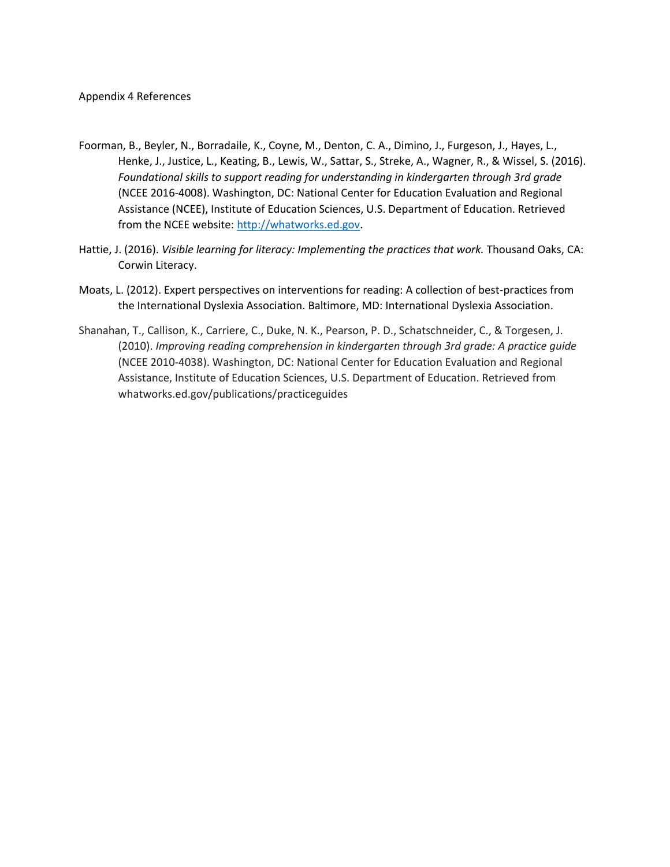- Foorman, B., Beyler, N., Borradaile, K., Coyne, M., Denton, C. A., Dimino, J., Furgeson, J., Hayes, L., Henke, J., Justice, L., Keating, B., Lewis, W., Sattar, S., Streke, A., Wagner, R., & Wissel, S. (2016). *Foundational skills to support reading for understanding in kindergarten through 3rd grade*  (NCEE 2016-4008). Washington, DC: National Center for Education Evaluation and Regional Assistance (NCEE), Institute of Education Sciences, U.S. Department of Education. Retrieved from the NCEE website[: http://whatworks.ed.gov.](http://whatworks.ed.gov/)
- Hattie, J. (2016). *Visible learning for literacy: Implementing the practices that work.* Thousand Oaks, CA: Corwin Literacy.
- Moats, L. (2012). Expert perspectives on interventions for reading: A collection of best-practices from the International Dyslexia Association. Baltimore, MD: International Dyslexia Association.
- Shanahan, T., Callison, K., Carriere, C., Duke, N. K., Pearson, P. D., Schatschneider, C., & Torgesen, J. (2010). *Improving reading comprehension in kindergarten through 3rd grade: A practice guide*  (NCEE 2010-4038). Washington, DC: National Center for Education Evaluation and Regional Assistance, Institute of Education Sciences, U.S. Department of Education. Retrieved from whatworks.ed.gov/publications/practiceguides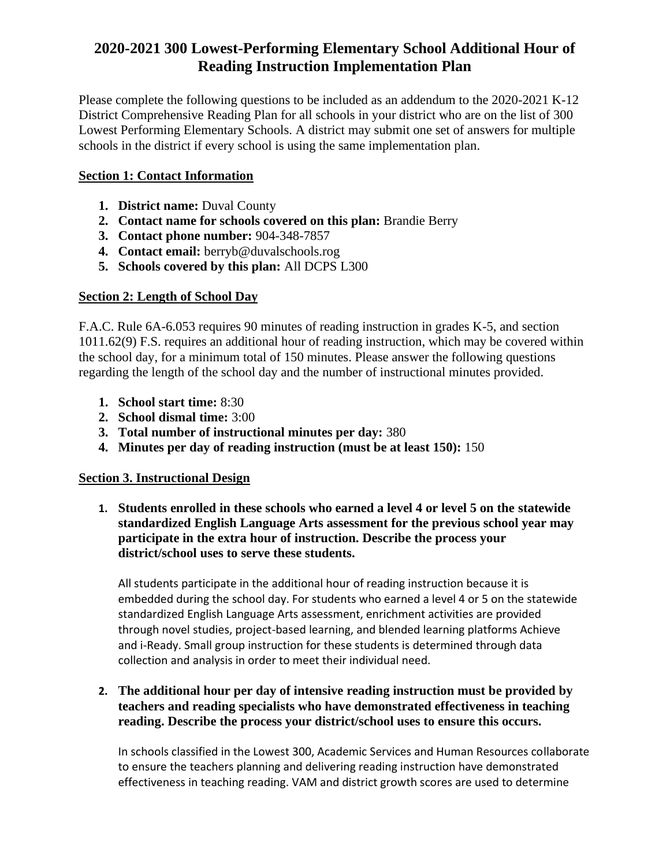# **2020-2021 300 Lowest-Performing Elementary School Additional Hour of Reading Instruction Implementation Plan**

Please complete the following questions to be included as an addendum to the 2020-2021 K-12 District Comprehensive Reading Plan for all schools in your district who are on the list of 300 Lowest Performing Elementary Schools. A district may submit one set of answers for multiple schools in the district if every school is using the same implementation plan.

## **Section 1: Contact Information**

- **1. District name:** Duval County
- **2. Contact name for schools covered on this plan:** Brandie Berry
- **3. Contact phone number:** 904-348-7857
- **4. Contact email:** berryb@duvalschools.rog
- **5. Schools covered by this plan:** All DCPS L300

# **Section 2: Length of School Day**

F.A.C. Rule 6A-6.053 requires 90 minutes of reading instruction in grades K-5, and section 1011.62(9) F.S. requires an additional hour of reading instruction, which may be covered within the school day, for a minimum total of 150 minutes. Please answer the following questions regarding the length of the school day and the number of instructional minutes provided.

- **1. School start time:** 8:30
- **2. School dismal time:** 3:00
- **3. Total number of instructional minutes per day:** 380
- **4. Minutes per day of reading instruction (must be at least 150):** 150

## **Section 3. Instructional Design**

**1. Students enrolled in these schools who earned a level 4 or level 5 on the statewide standardized English Language Arts assessment for the previous school year may participate in the extra hour of instruction. Describe the process your district/school uses to serve these students.**

All students participate in the additional hour of reading instruction because it is embedded during the school day. For students who earned a level 4 or 5 on the statewide standardized English Language Arts assessment, enrichment activities are provided through novel studies, project-based learning, and blended learning platforms Achieve and i-Ready. Small group instruction for these students is determined through data collection and analysis in order to meet their individual need.

## **2. The additional hour per day of intensive reading instruction must be provided by teachers and reading specialists who have demonstrated effectiveness in teaching reading. Describe the process your district/school uses to ensure this occurs.**

In schools classified in the Lowest 300, Academic Services and Human Resources collaborate to ensure the teachers planning and delivering reading instruction have demonstrated effectiveness in teaching reading. VAM and district growth scores are used to determine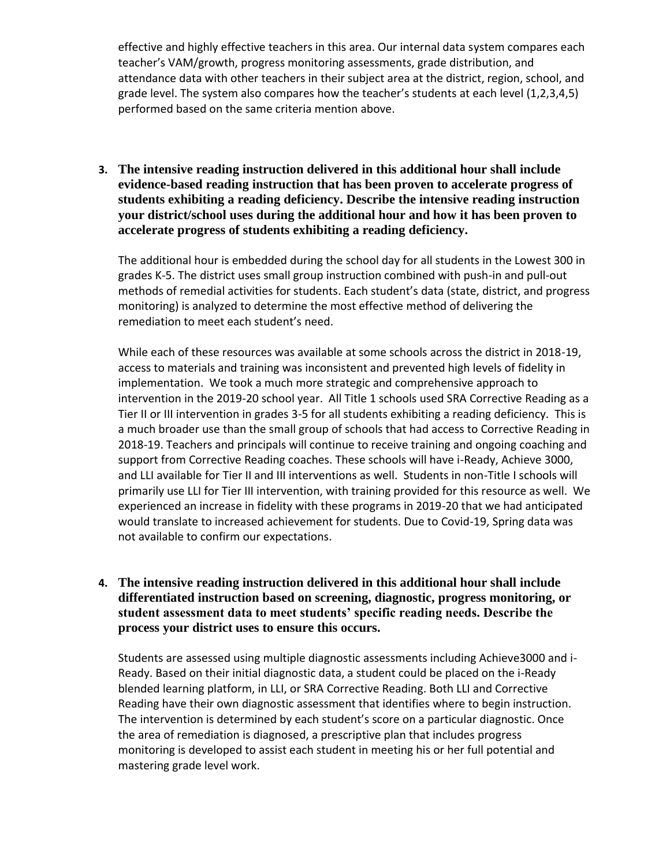effective and highly effective teachers in this area. Our internal data system compares each teacher's VAM/growth, progress monitoring assessments, grade distribution, and attendance data with other teachers in their subject area at the district, region, school, and grade level. The system also compares how the teacher's students at each level (1,2,3,4,5) performed based on the same criteria mention above.

**3. The intensive reading instruction delivered in this additional hour shall include evidence-based reading instruction that has been proven to accelerate progress of students exhibiting a reading deficiency. Describe the intensive reading instruction your district/school uses during the additional hour and how it has been proven to accelerate progress of students exhibiting a reading deficiency.**

The additional hour is embedded during the school day for all students in the Lowest 300 in grades K-5. The district uses small group instruction combined with push-in and pull-out methods of remedial activities for students. Each student's data (state, district, and progress monitoring) is analyzed to determine the most effective method of delivering the remediation to meet each student's need.

While each of these resources was available at some schools across the district in 2018-19, access to materials and training was inconsistent and prevented high levels of fidelity in implementation. We took a much more strategic and comprehensive approach to intervention in the 2019-20 school year. All Title 1 schools used SRA Corrective Reading as a Tier II or III intervention in grades 3-5 for all students exhibiting a reading deficiency. This is a much broader use than the small group of schools that had access to Corrective Reading in 2018-19. Teachers and principals will continue to receive training and ongoing coaching and support from Corrective Reading coaches. These schools will have i-Ready, Achieve 3000, and LLI available for Tier II and III interventions as well. Students in non-Title I schools will primarily use LLI for Tier III intervention, with training provided for this resource as well. We experienced an increase in fidelity with these programs in 2019-20 that we had anticipated would translate to increased achievement for students. Due to Covid-19, Spring data was not available to confirm our expectations.

## **4. The intensive reading instruction delivered in this additional hour shall include differentiated instruction based on screening, diagnostic, progress monitoring, or student assessment data to meet students' specific reading needs. Describe the process your district uses to ensure this occurs.**

Students are assessed using multiple diagnostic assessments including Achieve3000 and i-Ready. Based on their initial diagnostic data, a student could be placed on the i-Ready blended learning platform, in LLI, or SRA Corrective Reading. Both LLI and Corrective Reading have their own diagnostic assessment that identifies where to begin instruction. The intervention is determined by each student's score on a particular diagnostic. Once the area of remediation is diagnosed, a prescriptive plan that includes progress monitoring is developed to assist each student in meeting his or her full potential and mastering grade level work.